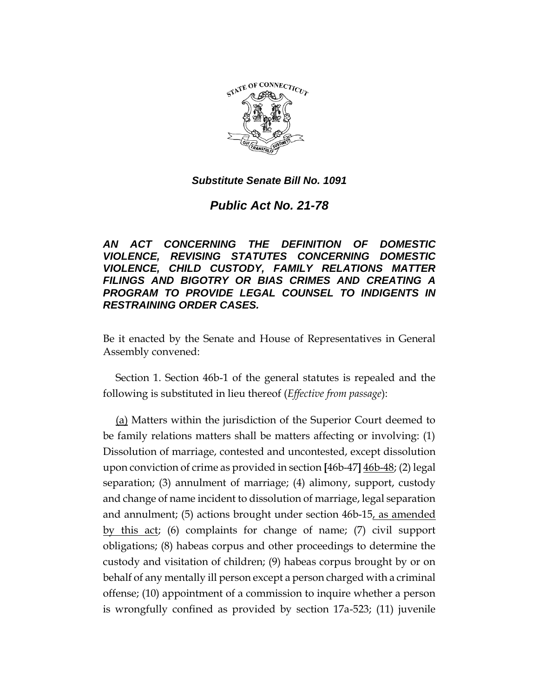

*Public Act No. 21-78*

*AN ACT CONCERNING THE DEFINITION OF DOMESTIC VIOLENCE, REVISING STATUTES CONCERNING DOMESTIC VIOLENCE, CHILD CUSTODY, FAMILY RELATIONS MATTER FILINGS AND BIGOTRY OR BIAS CRIMES AND CREATING A PROGRAM TO PROVIDE LEGAL COUNSEL TO INDIGENTS IN RESTRAINING ORDER CASES.*

Be it enacted by the Senate and House of Representatives in General Assembly convened:

Section 1. Section 46b-1 of the general statutes is repealed and the following is substituted in lieu thereof (*Effective from passage*):

(a) Matters within the jurisdiction of the Superior Court deemed to be family relations matters shall be matters affecting or involving: (1) Dissolution of marriage, contested and uncontested, except dissolution upon conviction of crime as provided in section **[**46b-47**]** 46b-48; (2) legal separation; (3) annulment of marriage; (4) alimony, support, custody and change of name incident to dissolution of marriage, legal separation and annulment; (5) actions brought under section 46b-15, as amended by this act; (6) complaints for change of name; (7) civil support obligations; (8) habeas corpus and other proceedings to determine the custody and visitation of children; (9) habeas corpus brought by or on behalf of any mentally ill person except a person charged with a criminal offense; (10) appointment of a commission to inquire whether a person is wrongfully confined as provided by section 17a-523; (11) juvenile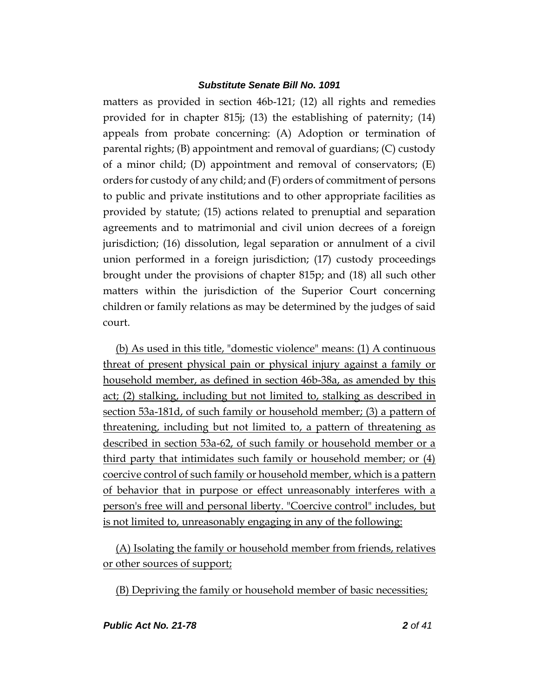matters as provided in section 46b-121; (12) all rights and remedies provided for in chapter 815j; (13) the establishing of paternity; (14) appeals from probate concerning: (A) Adoption or termination of parental rights; (B) appointment and removal of guardians; (C) custody of a minor child; (D) appointment and removal of conservators; (E) orders for custody of any child; and (F) orders of commitment of persons to public and private institutions and to other appropriate facilities as provided by statute; (15) actions related to prenuptial and separation agreements and to matrimonial and civil union decrees of a foreign jurisdiction; (16) dissolution, legal separation or annulment of a civil union performed in a foreign jurisdiction; (17) custody proceedings brought under the provisions of chapter 815p; and (18) all such other matters within the jurisdiction of the Superior Court concerning children or family relations as may be determined by the judges of said court.

(b) As used in this title, "domestic violence" means: (1) A continuous threat of present physical pain or physical injury against a family or household member, as defined in section 46b-38a, as amended by this act; (2) stalking, including but not limited to, stalking as described in section 53a-181d, of such family or household member; (3) a pattern of threatening, including but not limited to, a pattern of threatening as described in section 53a-62, of such family or household member or a third party that intimidates such family or household member; or (4) coercive control of such family or household member, which is a pattern of behavior that in purpose or effect unreasonably interferes with a person's free will and personal liberty. "Coercive control" includes, but is not limited to, unreasonably engaging in any of the following:

(A) Isolating the family or household member from friends, relatives or other sources of support;

(B) Depriving the family or household member of basic necessities;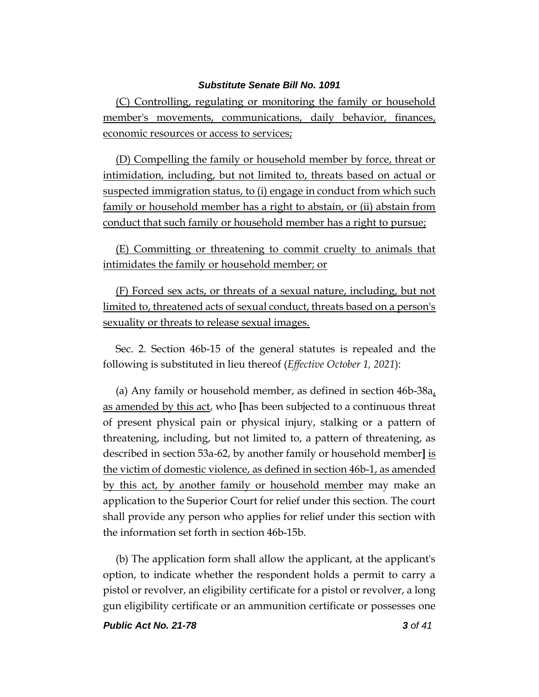(C) Controlling, regulating or monitoring the family or household member's movements, communications, daily behavior, finances, economic resources or access to services;

(D) Compelling the family or household member by force, threat or intimidation, including, but not limited to, threats based on actual or suspected immigration status, to (i) engage in conduct from which such family or household member has a right to abstain, or (ii) abstain from conduct that such family or household member has a right to pursue;

(E) Committing or threatening to commit cruelty to animals that intimidates the family or household member; or

(F) Forced sex acts, or threats of a sexual nature, including, but not limited to, threatened acts of sexual conduct, threats based on a person's sexuality or threats to release sexual images.

Sec. 2. Section 46b-15 of the general statutes is repealed and the following is substituted in lieu thereof (*Effective October 1, 2021*):

(a) Any family or household member, as defined in section 46b-38a, as amended by this act, who **[**has been subjected to a continuous threat of present physical pain or physical injury, stalking or a pattern of threatening, including, but not limited to, a pattern of threatening, as described in section 53a-62, by another family or household member**]** is the victim of domestic violence, as defined in section 46b-1, as amended by this act, by another family or household member may make an application to the Superior Court for relief under this section. The court shall provide any person who applies for relief under this section with the information set forth in section 46b-15b.

(b) The application form shall allow the applicant, at the applicant's option, to indicate whether the respondent holds a permit to carry a pistol or revolver, an eligibility certificate for a pistol or revolver, a long gun eligibility certificate or an ammunition certificate or possesses one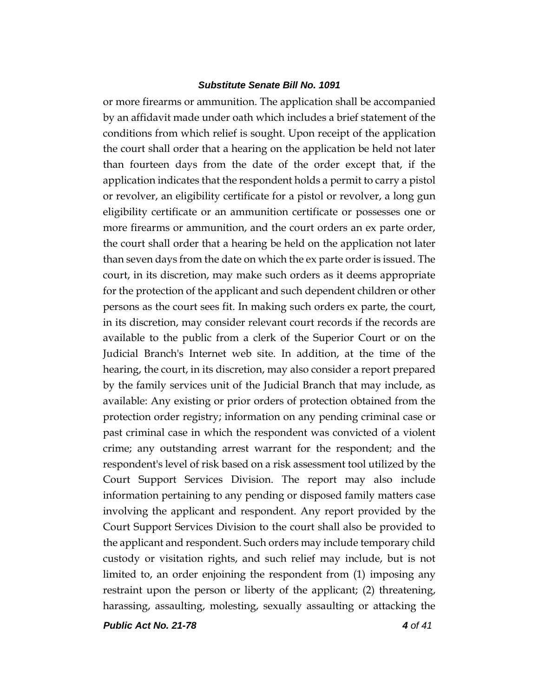or more firearms or ammunition. The application shall be accompanied by an affidavit made under oath which includes a brief statement of the conditions from which relief is sought. Upon receipt of the application the court shall order that a hearing on the application be held not later than fourteen days from the date of the order except that, if the application indicates that the respondent holds a permit to carry a pistol or revolver, an eligibility certificate for a pistol or revolver, a long gun eligibility certificate or an ammunition certificate or possesses one or more firearms or ammunition, and the court orders an ex parte order, the court shall order that a hearing be held on the application not later than seven days from the date on which the ex parte order is issued. The court, in its discretion, may make such orders as it deems appropriate for the protection of the applicant and such dependent children or other persons as the court sees fit. In making such orders ex parte, the court, in its discretion, may consider relevant court records if the records are available to the public from a clerk of the Superior Court or on the Judicial Branch's Internet web site. In addition, at the time of the hearing, the court, in its discretion, may also consider a report prepared by the family services unit of the Judicial Branch that may include, as available: Any existing or prior orders of protection obtained from the protection order registry; information on any pending criminal case or past criminal case in which the respondent was convicted of a violent crime; any outstanding arrest warrant for the respondent; and the respondent's level of risk based on a risk assessment tool utilized by the Court Support Services Division. The report may also include information pertaining to any pending or disposed family matters case involving the applicant and respondent. Any report provided by the Court Support Services Division to the court shall also be provided to the applicant and respondent. Such orders may include temporary child custody or visitation rights, and such relief may include, but is not limited to, an order enjoining the respondent from (1) imposing any restraint upon the person or liberty of the applicant; (2) threatening, harassing, assaulting, molesting, sexually assaulting or attacking the

*Public Act No. 21-78 4 of 41*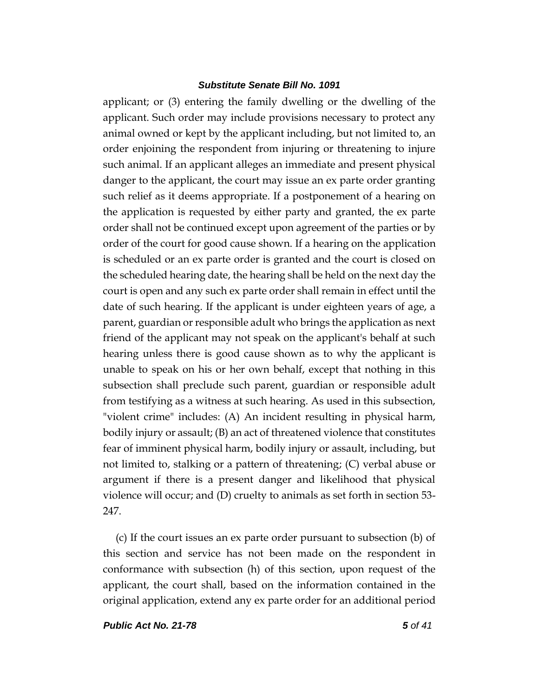applicant; or (3) entering the family dwelling or the dwelling of the applicant. Such order may include provisions necessary to protect any animal owned or kept by the applicant including, but not limited to, an order enjoining the respondent from injuring or threatening to injure such animal. If an applicant alleges an immediate and present physical danger to the applicant, the court may issue an ex parte order granting such relief as it deems appropriate. If a postponement of a hearing on the application is requested by either party and granted, the ex parte order shall not be continued except upon agreement of the parties or by order of the court for good cause shown. If a hearing on the application is scheduled or an ex parte order is granted and the court is closed on the scheduled hearing date, the hearing shall be held on the next day the court is open and any such ex parte order shall remain in effect until the date of such hearing. If the applicant is under eighteen years of age, a parent, guardian or responsible adult who brings the application as next friend of the applicant may not speak on the applicant's behalf at such hearing unless there is good cause shown as to why the applicant is unable to speak on his or her own behalf, except that nothing in this subsection shall preclude such parent, guardian or responsible adult from testifying as a witness at such hearing. As used in this subsection, "violent crime" includes: (A) An incident resulting in physical harm, bodily injury or assault; (B) an act of threatened violence that constitutes fear of imminent physical harm, bodily injury or assault, including, but not limited to, stalking or a pattern of threatening; (C) verbal abuse or argument if there is a present danger and likelihood that physical violence will occur; and (D) cruelty to animals as set forth in section 53- 247.

(c) If the court issues an ex parte order pursuant to subsection (b) of this section and service has not been made on the respondent in conformance with subsection (h) of this section, upon request of the applicant, the court shall, based on the information contained in the original application, extend any ex parte order for an additional period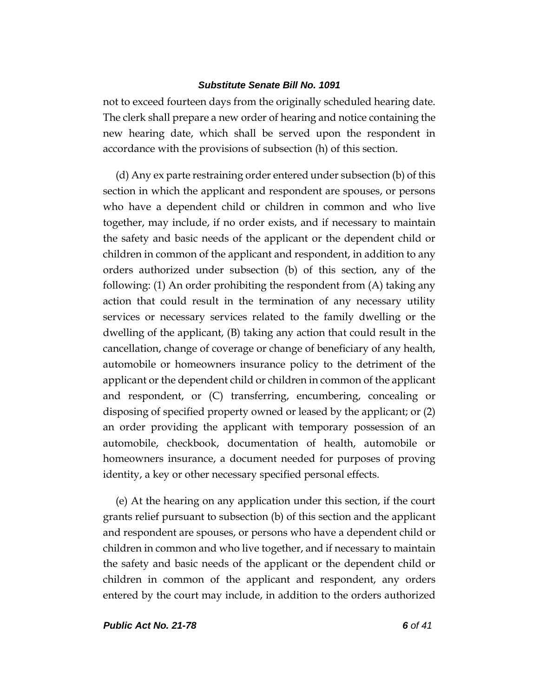not to exceed fourteen days from the originally scheduled hearing date. The clerk shall prepare a new order of hearing and notice containing the new hearing date, which shall be served upon the respondent in accordance with the provisions of subsection (h) of this section.

(d) Any ex parte restraining order entered under subsection (b) of this section in which the applicant and respondent are spouses, or persons who have a dependent child or children in common and who live together, may include, if no order exists, and if necessary to maintain the safety and basic needs of the applicant or the dependent child or children in common of the applicant and respondent, in addition to any orders authorized under subsection (b) of this section, any of the following: (1) An order prohibiting the respondent from (A) taking any action that could result in the termination of any necessary utility services or necessary services related to the family dwelling or the dwelling of the applicant, (B) taking any action that could result in the cancellation, change of coverage or change of beneficiary of any health, automobile or homeowners insurance policy to the detriment of the applicant or the dependent child or children in common of the applicant and respondent, or (C) transferring, encumbering, concealing or disposing of specified property owned or leased by the applicant; or (2) an order providing the applicant with temporary possession of an automobile, checkbook, documentation of health, automobile or homeowners insurance, a document needed for purposes of proving identity, a key or other necessary specified personal effects.

(e) At the hearing on any application under this section, if the court grants relief pursuant to subsection (b) of this section and the applicant and respondent are spouses, or persons who have a dependent child or children in common and who live together, and if necessary to maintain the safety and basic needs of the applicant or the dependent child or children in common of the applicant and respondent, any orders entered by the court may include, in addition to the orders authorized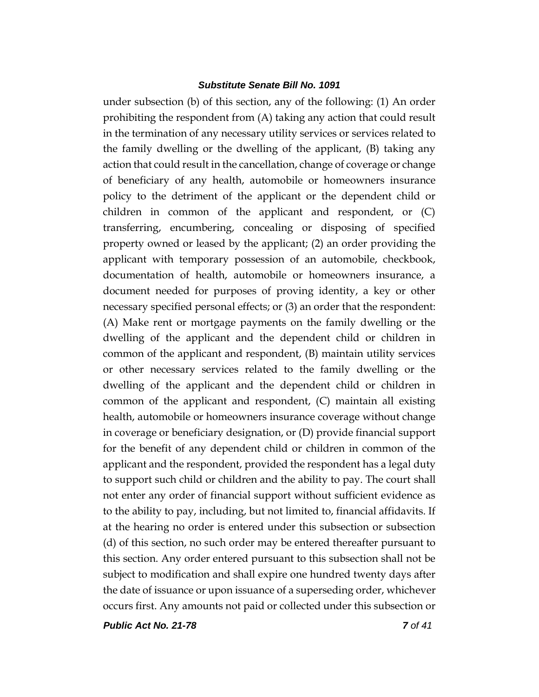under subsection (b) of this section, any of the following: (1) An order prohibiting the respondent from (A) taking any action that could result in the termination of any necessary utility services or services related to the family dwelling or the dwelling of the applicant, (B) taking any action that could result in the cancellation, change of coverage or change of beneficiary of any health, automobile or homeowners insurance policy to the detriment of the applicant or the dependent child or children in common of the applicant and respondent, or (C) transferring, encumbering, concealing or disposing of specified property owned or leased by the applicant; (2) an order providing the applicant with temporary possession of an automobile, checkbook, documentation of health, automobile or homeowners insurance, a document needed for purposes of proving identity, a key or other necessary specified personal effects; or (3) an order that the respondent: (A) Make rent or mortgage payments on the family dwelling or the dwelling of the applicant and the dependent child or children in common of the applicant and respondent, (B) maintain utility services or other necessary services related to the family dwelling or the dwelling of the applicant and the dependent child or children in common of the applicant and respondent, (C) maintain all existing health, automobile or homeowners insurance coverage without change in coverage or beneficiary designation, or (D) provide financial support for the benefit of any dependent child or children in common of the applicant and the respondent, provided the respondent has a legal duty to support such child or children and the ability to pay. The court shall not enter any order of financial support without sufficient evidence as to the ability to pay, including, but not limited to, financial affidavits. If at the hearing no order is entered under this subsection or subsection (d) of this section, no such order may be entered thereafter pursuant to this section. Any order entered pursuant to this subsection shall not be subject to modification and shall expire one hundred twenty days after the date of issuance or upon issuance of a superseding order, whichever occurs first. Any amounts not paid or collected under this subsection or

*Public Act No. 21-78 7 of 41*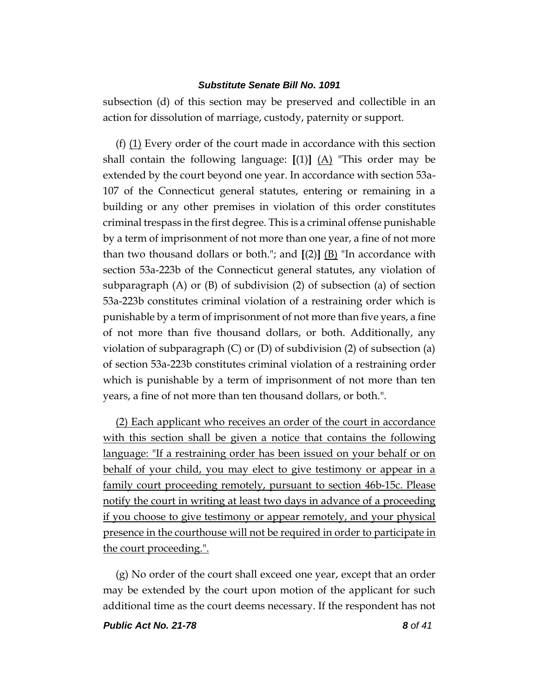subsection (d) of this section may be preserved and collectible in an action for dissolution of marriage, custody, paternity or support.

(f) (1) Every order of the court made in accordance with this section shall contain the following language:  $[(1)]$   $(A)$  "This order may be extended by the court beyond one year. In accordance with section 53a-107 of the Connecticut general statutes, entering or remaining in a building or any other premises in violation of this order constitutes criminal trespass in the first degree. This is a criminal offense punishable by a term of imprisonment of not more than one year, a fine of not more than two thousand dollars or both."; and  $[(2)]$   $(B)$  "In accordance with section 53a-223b of the Connecticut general statutes, any violation of subparagraph (A) or (B) of subdivision (2) of subsection (a) of section 53a-223b constitutes criminal violation of a restraining order which is punishable by a term of imprisonment of not more than five years, a fine of not more than five thousand dollars, or both. Additionally, any violation of subparagraph (C) or (D) of subdivision (2) of subsection (a) of section 53a-223b constitutes criminal violation of a restraining order which is punishable by a term of imprisonment of not more than ten years, a fine of not more than ten thousand dollars, or both.".

(2) Each applicant who receives an order of the court in accordance with this section shall be given a notice that contains the following language: "If a restraining order has been issued on your behalf or on behalf of your child, you may elect to give testimony or appear in a family court proceeding remotely, pursuant to section 46b-15c. Please notify the court in writing at least two days in advance of a proceeding if you choose to give testimony or appear remotely, and your physical presence in the courthouse will not be required in order to participate in the court proceeding.".

(g) No order of the court shall exceed one year, except that an order may be extended by the court upon motion of the applicant for such additional time as the court deems necessary. If the respondent has not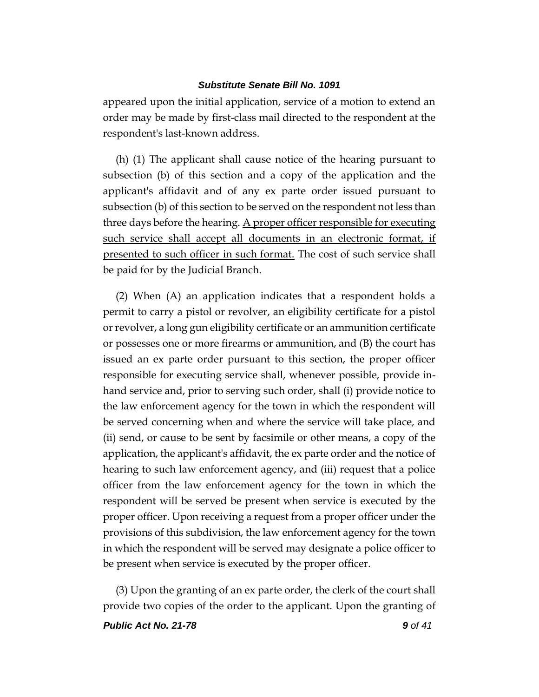appeared upon the initial application, service of a motion to extend an order may be made by first-class mail directed to the respondent at the respondent's last-known address.

(h) (1) The applicant shall cause notice of the hearing pursuant to subsection (b) of this section and a copy of the application and the applicant's affidavit and of any ex parte order issued pursuant to subsection (b) of this section to be served on the respondent not less than three days before the hearing. A proper officer responsible for executing such service shall accept all documents in an electronic format, if presented to such officer in such format. The cost of such service shall be paid for by the Judicial Branch.

(2) When (A) an application indicates that a respondent holds a permit to carry a pistol or revolver, an eligibility certificate for a pistol or revolver, a long gun eligibility certificate or an ammunition certificate or possesses one or more firearms or ammunition, and (B) the court has issued an ex parte order pursuant to this section, the proper officer responsible for executing service shall, whenever possible, provide inhand service and, prior to serving such order, shall (i) provide notice to the law enforcement agency for the town in which the respondent will be served concerning when and where the service will take place, and (ii) send, or cause to be sent by facsimile or other means, a copy of the application, the applicant's affidavit, the ex parte order and the notice of hearing to such law enforcement agency, and (iii) request that a police officer from the law enforcement agency for the town in which the respondent will be served be present when service is executed by the proper officer. Upon receiving a request from a proper officer under the provisions of this subdivision, the law enforcement agency for the town in which the respondent will be served may designate a police officer to be present when service is executed by the proper officer.

(3) Upon the granting of an ex parte order, the clerk of the court shall provide two copies of the order to the applicant. Upon the granting of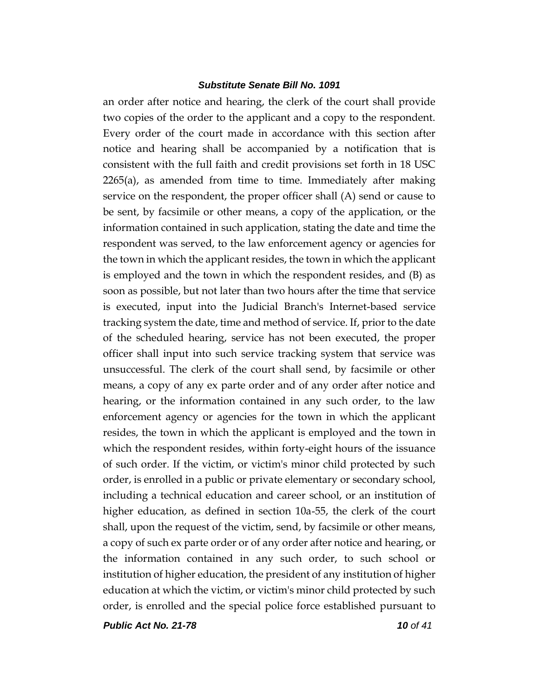an order after notice and hearing, the clerk of the court shall provide two copies of the order to the applicant and a copy to the respondent. Every order of the court made in accordance with this section after notice and hearing shall be accompanied by a notification that is consistent with the full faith and credit provisions set forth in 18 USC 2265(a), as amended from time to time. Immediately after making service on the respondent, the proper officer shall (A) send or cause to be sent, by facsimile or other means, a copy of the application, or the information contained in such application, stating the date and time the respondent was served, to the law enforcement agency or agencies for the town in which the applicant resides, the town in which the applicant is employed and the town in which the respondent resides, and (B) as soon as possible, but not later than two hours after the time that service is executed, input into the Judicial Branch's Internet-based service tracking system the date, time and method of service. If, prior to the date of the scheduled hearing, service has not been executed, the proper officer shall input into such service tracking system that service was unsuccessful. The clerk of the court shall send, by facsimile or other means, a copy of any ex parte order and of any order after notice and hearing, or the information contained in any such order, to the law enforcement agency or agencies for the town in which the applicant resides, the town in which the applicant is employed and the town in which the respondent resides, within forty-eight hours of the issuance of such order. If the victim, or victim's minor child protected by such order, is enrolled in a public or private elementary or secondary school, including a technical education and career school, or an institution of higher education, as defined in section 10a-55, the clerk of the court shall, upon the request of the victim, send, by facsimile or other means, a copy of such ex parte order or of any order after notice and hearing, or the information contained in any such order, to such school or institution of higher education, the president of any institution of higher education at which the victim, or victim's minor child protected by such order, is enrolled and the special police force established pursuant to

*Public Act No. 21-78 10 of 41*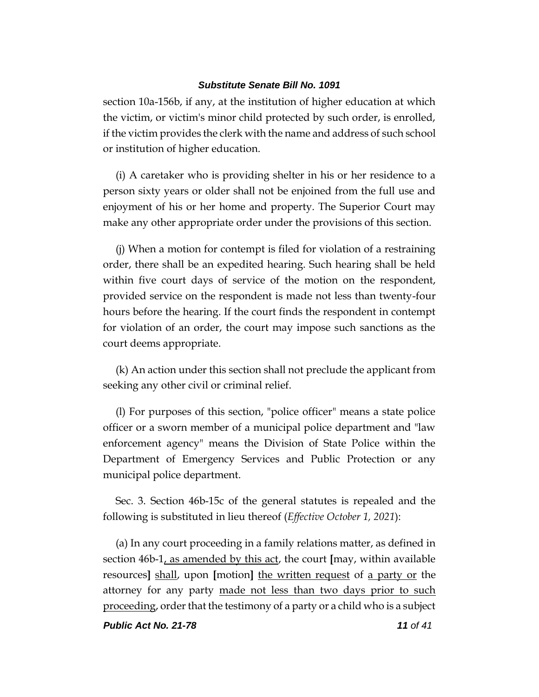section 10a-156b, if any, at the institution of higher education at which the victim, or victim's minor child protected by such order, is enrolled, if the victim provides the clerk with the name and address of such school or institution of higher education.

(i) A caretaker who is providing shelter in his or her residence to a person sixty years or older shall not be enjoined from the full use and enjoyment of his or her home and property. The Superior Court may make any other appropriate order under the provisions of this section.

(j) When a motion for contempt is filed for violation of a restraining order, there shall be an expedited hearing. Such hearing shall be held within five court days of service of the motion on the respondent, provided service on the respondent is made not less than twenty-four hours before the hearing. If the court finds the respondent in contempt for violation of an order, the court may impose such sanctions as the court deems appropriate.

(k) An action under this section shall not preclude the applicant from seeking any other civil or criminal relief.

(l) For purposes of this section, "police officer" means a state police officer or a sworn member of a municipal police department and "law enforcement agency" means the Division of State Police within the Department of Emergency Services and Public Protection or any municipal police department.

Sec. 3. Section 46b-15c of the general statutes is repealed and the following is substituted in lieu thereof (*Effective October 1, 2021*):

(a) In any court proceeding in a family relations matter, as defined in section 46b-1, as amended by this act, the court **[**may, within available resources**]** shall, upon **[**motion**]** the written request of a party or the attorney for any party made not less than two days prior to such proceeding, order that the testimony of a party or a child who is a subject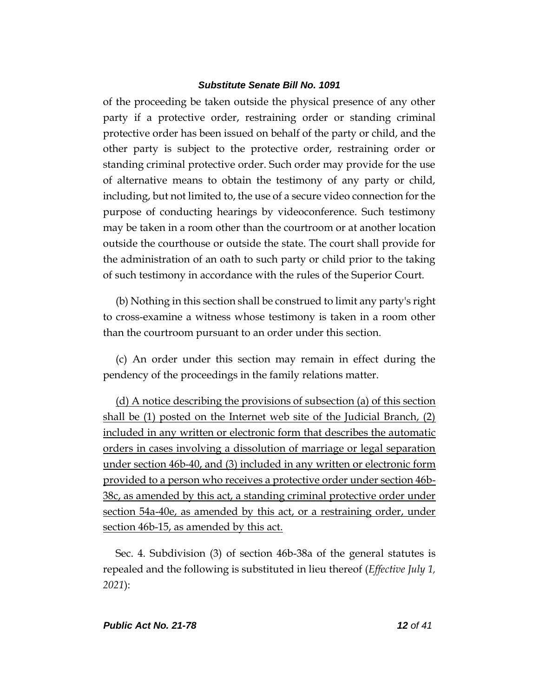of the proceeding be taken outside the physical presence of any other party if a protective order, restraining order or standing criminal protective order has been issued on behalf of the party or child, and the other party is subject to the protective order, restraining order or standing criminal protective order. Such order may provide for the use of alternative means to obtain the testimony of any party or child, including, but not limited to, the use of a secure video connection for the purpose of conducting hearings by videoconference. Such testimony may be taken in a room other than the courtroom or at another location outside the courthouse or outside the state. The court shall provide for the administration of an oath to such party or child prior to the taking of such testimony in accordance with the rules of the Superior Court.

(b) Nothing in this section shall be construed to limit any party's right to cross-examine a witness whose testimony is taken in a room other than the courtroom pursuant to an order under this section.

(c) An order under this section may remain in effect during the pendency of the proceedings in the family relations matter.

(d) A notice describing the provisions of subsection (a) of this section shall be (1) posted on the Internet web site of the Judicial Branch, (2) included in any written or electronic form that describes the automatic orders in cases involving a dissolution of marriage or legal separation under section 46b-40, and (3) included in any written or electronic form provided to a person who receives a protective order under section 46b-38c, as amended by this act, a standing criminal protective order under section 54a-40e, as amended by this act, or a restraining order, under section 46b-15, as amended by this act.

Sec. 4. Subdivision (3) of section 46b-38a of the general statutes is repealed and the following is substituted in lieu thereof (*Effective July 1, 2021*):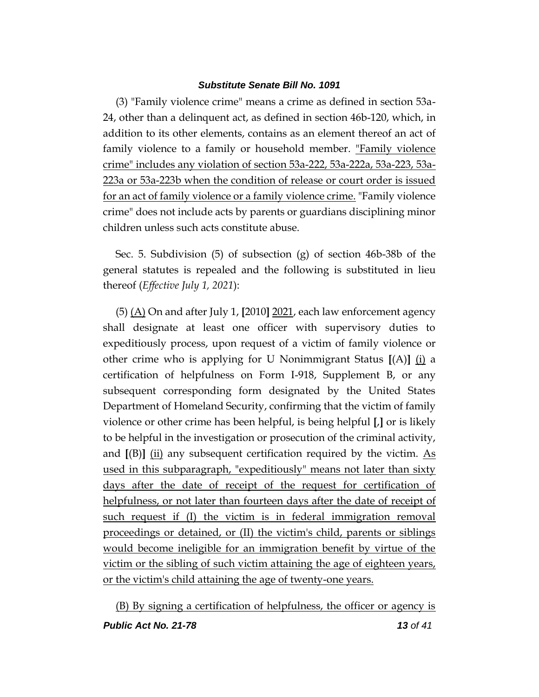(3) "Family violence crime" means a crime as defined in section 53a-24, other than a delinquent act, as defined in section 46b-120, which, in addition to its other elements, contains as an element thereof an act of family violence to a family or household member. "Family violence crime" includes any violation of section 53a-222, 53a-222a, 53a-223, 53a-223a or 53a-223b when the condition of release or court order is issued for an act of family violence or a family violence crime. "Family violence crime" does not include acts by parents or guardians disciplining minor children unless such acts constitute abuse.

Sec. 5. Subdivision (5) of subsection (g) of section 46b-38b of the general statutes is repealed and the following is substituted in lieu thereof (*Effective July 1, 2021*):

(5) (A) On and after July 1, **[**2010**]** 2021, each law enforcement agency shall designate at least one officer with supervisory duties to expeditiously process, upon request of a victim of family violence or other crime who is applying for U Nonimmigrant Status **[**(A)**]** (i) a certification of helpfulness on Form I-918, Supplement B, or any subsequent corresponding form designated by the United States Department of Homeland Security, confirming that the victim of family violence or other crime has been helpful, is being helpful **[**,**]** or is likely to be helpful in the investigation or prosecution of the criminal activity, and  $[(B)]$   $(i)$  any subsequent certification required by the victim. As used in this subparagraph, "expeditiously" means not later than sixty days after the date of receipt of the request for certification of helpfulness, or not later than fourteen days after the date of receipt of such request if (I) the victim is in federal immigration removal proceedings or detained, or (II) the victim's child, parents or siblings would become ineligible for an immigration benefit by virtue of the victim or the sibling of such victim attaining the age of eighteen years, or the victim's child attaining the age of twenty-one years.

(B) By signing a certification of helpfulness, the officer or agency is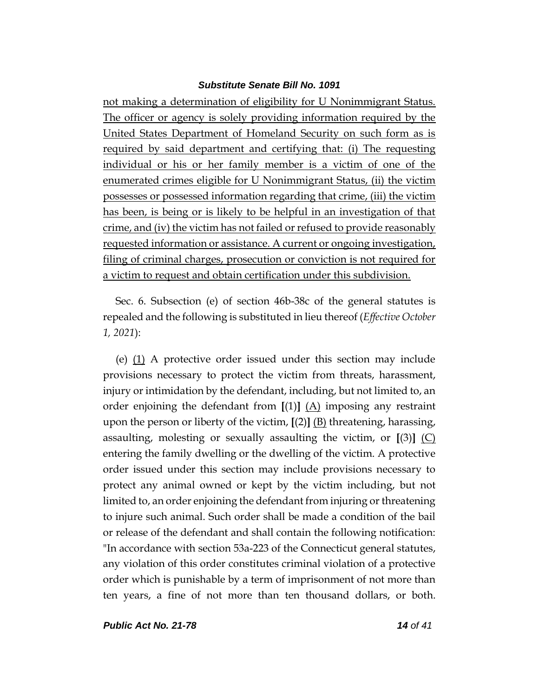not making a determination of eligibility for U Nonimmigrant Status. The officer or agency is solely providing information required by the United States Department of Homeland Security on such form as is required by said department and certifying that: (i) The requesting individual or his or her family member is a victim of one of the enumerated crimes eligible for U Nonimmigrant Status, (ii) the victim possesses or possessed information regarding that crime, (iii) the victim has been, is being or is likely to be helpful in an investigation of that crime, and (iv) the victim has not failed or refused to provide reasonably requested information or assistance. A current or ongoing investigation, filing of criminal charges, prosecution or conviction is not required for a victim to request and obtain certification under this subdivision.

Sec. 6. Subsection (e) of section 46b-38c of the general statutes is repealed and the following is substituted in lieu thereof (*Effective October 1, 2021*):

(e) (1) A protective order issued under this section may include provisions necessary to protect the victim from threats, harassment, injury or intimidation by the defendant, including, but not limited to, an order enjoining the defendant from **[**(1)**]** (A) imposing any restraint upon the person or liberty of the victim, **[**(2)**]** (B) threatening, harassing, assaulting, molesting or sexually assaulting the victim, or  $[(3)]$  (C) entering the family dwelling or the dwelling of the victim. A protective order issued under this section may include provisions necessary to protect any animal owned or kept by the victim including, but not limited to, an order enjoining the defendant from injuring or threatening to injure such animal. Such order shall be made a condition of the bail or release of the defendant and shall contain the following notification: "In accordance with section 53a-223 of the Connecticut general statutes, any violation of this order constitutes criminal violation of a protective order which is punishable by a term of imprisonment of not more than ten years, a fine of not more than ten thousand dollars, or both.

*Public Act No. 21-78 14 of 41*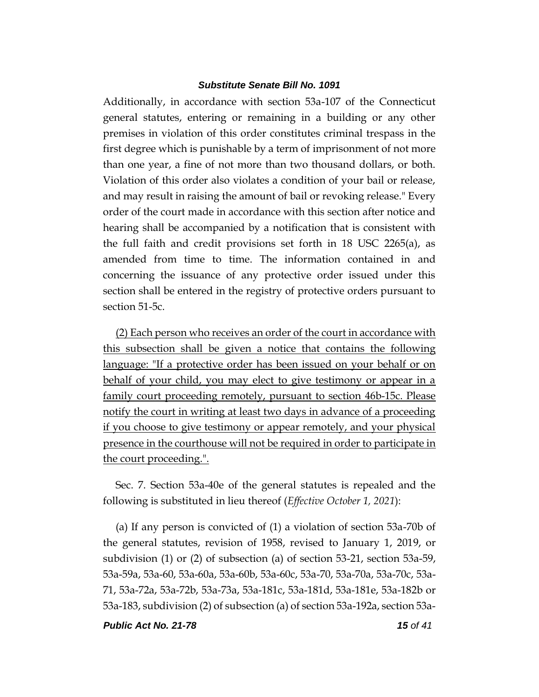Additionally, in accordance with section 53a-107 of the Connecticut general statutes, entering or remaining in a building or any other premises in violation of this order constitutes criminal trespass in the first degree which is punishable by a term of imprisonment of not more than one year, a fine of not more than two thousand dollars, or both. Violation of this order also violates a condition of your bail or release, and may result in raising the amount of bail or revoking release." Every order of the court made in accordance with this section after notice and hearing shall be accompanied by a notification that is consistent with the full faith and credit provisions set forth in 18 USC 2265(a), as amended from time to time. The information contained in and concerning the issuance of any protective order issued under this section shall be entered in the registry of protective orders pursuant to section 51-5c.

(2) Each person who receives an order of the court in accordance with this subsection shall be given a notice that contains the following language: "If a protective order has been issued on your behalf or on behalf of your child, you may elect to give testimony or appear in a family court proceeding remotely, pursuant to section 46b-15c. Please notify the court in writing at least two days in advance of a proceeding if you choose to give testimony or appear remotely, and your physical presence in the courthouse will not be required in order to participate in the court proceeding.".

Sec. 7. Section 53a-40e of the general statutes is repealed and the following is substituted in lieu thereof (*Effective October 1, 2021*):

(a) If any person is convicted of (1) a violation of section 53a-70b of the general statutes, revision of 1958, revised to January 1, 2019, or subdivision (1) or (2) of subsection (a) of section 53-21, section 53a-59, 53a-59a, 53a-60, 53a-60a, 53a-60b, 53a-60c, 53a-70, 53a-70a, 53a-70c, 53a-71, 53a-72a, 53a-72b, 53a-73a, 53a-181c, 53a-181d, 53a-181e, 53a-182b or 53a-183, subdivision (2) of subsection (a) of section 53a-192a, section 53a-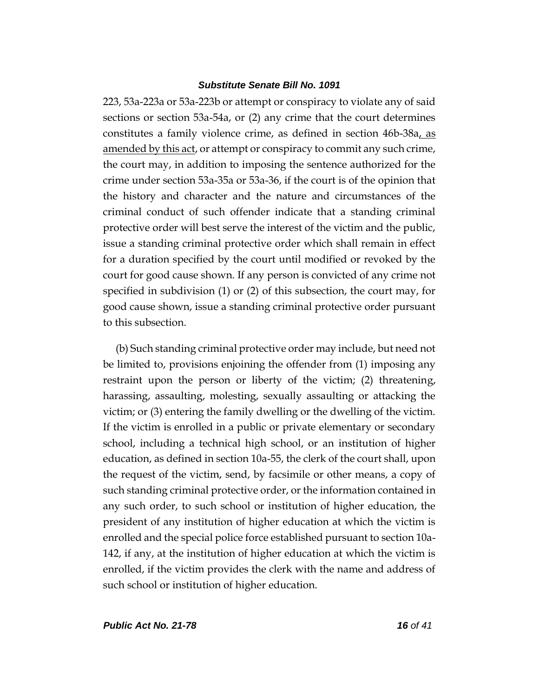223, 53a-223a or 53a-223b or attempt or conspiracy to violate any of said sections or section 53a-54a, or (2) any crime that the court determines constitutes a family violence crime, as defined in section 46b-38a, as amended by this act, or attempt or conspiracy to commit any such crime, the court may, in addition to imposing the sentence authorized for the crime under section 53a-35a or 53a-36, if the court is of the opinion that the history and character and the nature and circumstances of the criminal conduct of such offender indicate that a standing criminal protective order will best serve the interest of the victim and the public, issue a standing criminal protective order which shall remain in effect for a duration specified by the court until modified or revoked by the court for good cause shown. If any person is convicted of any crime not specified in subdivision (1) or (2) of this subsection, the court may, for good cause shown, issue a standing criminal protective order pursuant to this subsection.

(b) Such standing criminal protective order may include, but need not be limited to, provisions enjoining the offender from (1) imposing any restraint upon the person or liberty of the victim; (2) threatening, harassing, assaulting, molesting, sexually assaulting or attacking the victim; or (3) entering the family dwelling or the dwelling of the victim. If the victim is enrolled in a public or private elementary or secondary school, including a technical high school, or an institution of higher education, as defined in section 10a-55, the clerk of the court shall, upon the request of the victim, send, by facsimile or other means, a copy of such standing criminal protective order, or the information contained in any such order, to such school or institution of higher education, the president of any institution of higher education at which the victim is enrolled and the special police force established pursuant to section 10a-142, if any, at the institution of higher education at which the victim is enrolled, if the victim provides the clerk with the name and address of such school or institution of higher education.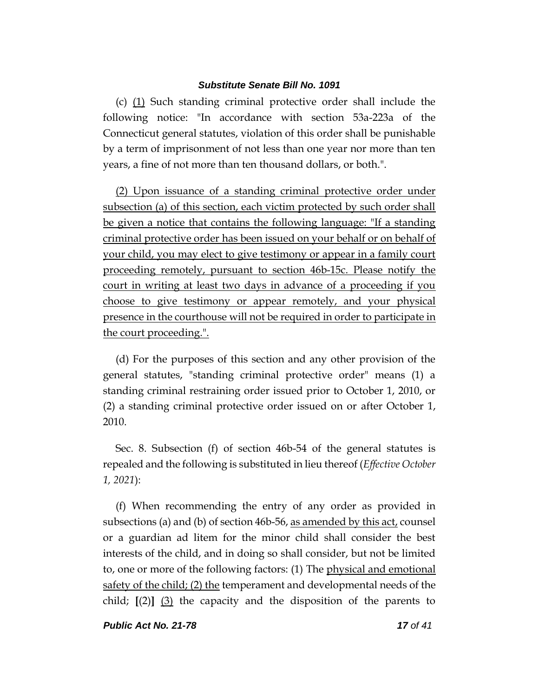(c) (1) Such standing criminal protective order shall include the following notice: "In accordance with section 53a-223a of the Connecticut general statutes, violation of this order shall be punishable by a term of imprisonment of not less than one year nor more than ten years, a fine of not more than ten thousand dollars, or both.".

(2) Upon issuance of a standing criminal protective order under subsection (a) of this section, each victim protected by such order shall be given a notice that contains the following language: "If a standing criminal protective order has been issued on your behalf or on behalf of your child, you may elect to give testimony or appear in a family court proceeding remotely, pursuant to section 46b-15c. Please notify the court in writing at least two days in advance of a proceeding if you choose to give testimony or appear remotely, and your physical presence in the courthouse will not be required in order to participate in the court proceeding.".

(d) For the purposes of this section and any other provision of the general statutes, "standing criminal protective order" means (1) a standing criminal restraining order issued prior to October 1, 2010, or (2) a standing criminal protective order issued on or after October 1, 2010.

Sec. 8. Subsection (f) of section 46b-54 of the general statutes is repealed and the following is substituted in lieu thereof (*Effective October 1, 2021*):

(f) When recommending the entry of any order as provided in subsections (a) and (b) of section 46b-56, <u>as amended by this act</u>, counsel or a guardian ad litem for the minor child shall consider the best interests of the child, and in doing so shall consider, but not be limited to, one or more of the following factors: (1) The physical and emotional safety of the child; (2) the temperament and developmental needs of the child; **[**(2)**]** (3) the capacity and the disposition of the parents to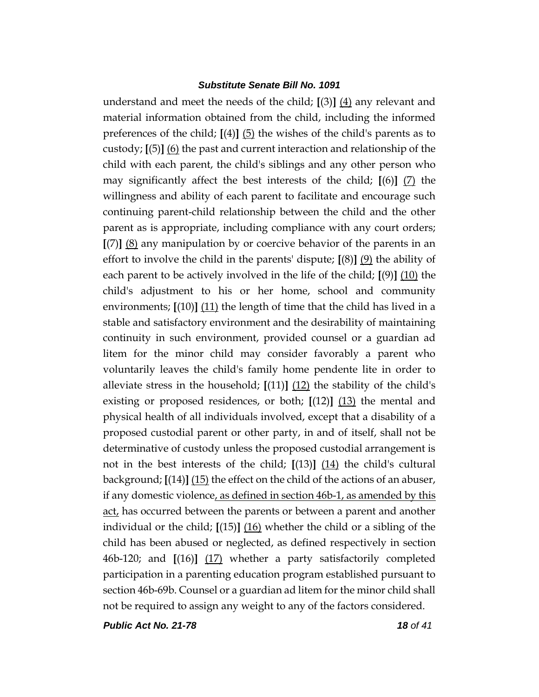understand and meet the needs of the child; **[**(3)**]** (4) any relevant and material information obtained from the child, including the informed preferences of the child; **[**(4)**]** (5) the wishes of the child's parents as to custody; **[**(5)**]** (6) the past and current interaction and relationship of the child with each parent, the child's siblings and any other person who may significantly affect the best interests of the child; **[**(6)**]** (7) the willingness and ability of each parent to facilitate and encourage such continuing parent-child relationship between the child and the other parent as is appropriate, including compliance with any court orders; **[**(7)**]** (8) any manipulation by or coercive behavior of the parents in an effort to involve the child in the parents' dispute;  $[(8)]$  (9) the ability of each parent to be actively involved in the life of the child; **[**(9)**]** (10) the child's adjustment to his or her home, school and community environments; **[**(10)**]** (11) the length of time that the child has lived in a stable and satisfactory environment and the desirability of maintaining continuity in such environment, provided counsel or a guardian ad litem for the minor child may consider favorably a parent who voluntarily leaves the child's family home pendente lite in order to alleviate stress in the household; **[**(11)**]** (12) the stability of the child's existing or proposed residences, or both; **[**(12)**]** (13) the mental and physical health of all individuals involved, except that a disability of a proposed custodial parent or other party, in and of itself, shall not be determinative of custody unless the proposed custodial arrangement is not in the best interests of the child; **[**(13)**]** (14) the child's cultural background; **[**(14)**]** (15) the effect on the child of the actions of an abuser, if any domestic violence, as defined in section 46b-1, as amended by this act, has occurred between the parents or between a parent and another individual or the child; **[**(15)**]** (16) whether the child or a sibling of the child has been abused or neglected, as defined respectively in section 46b-120; and **[**(16)**]** (17) whether a party satisfactorily completed participation in a parenting education program established pursuant to section 46b-69b. Counsel or a guardian ad litem for the minor child shall not be required to assign any weight to any of the factors considered.

*Public Act No. 21-78 18 of 41*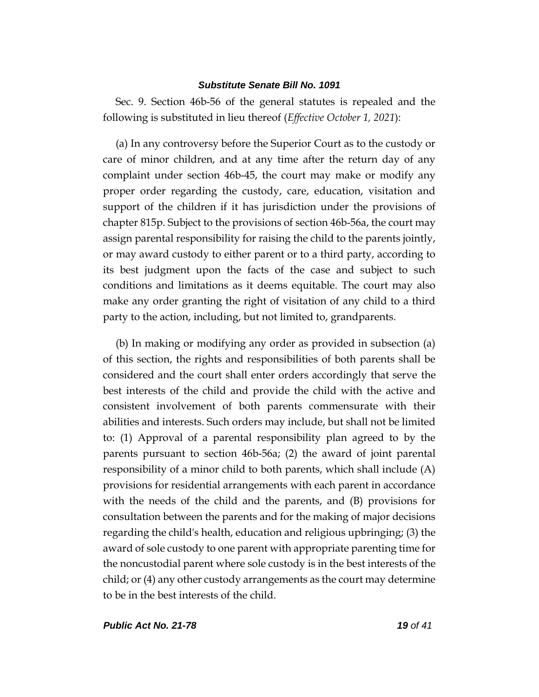Sec. 9. Section 46b-56 of the general statutes is repealed and the following is substituted in lieu thereof (*Effective October 1, 2021*):

(a) In any controversy before the Superior Court as to the custody or care of minor children, and at any time after the return day of any complaint under section 46b-45, the court may make or modify any proper order regarding the custody, care, education, visitation and support of the children if it has jurisdiction under the provisions of chapter 815p. Subject to the provisions of section 46b-56a, the court may assign parental responsibility for raising the child to the parents jointly, or may award custody to either parent or to a third party, according to its best judgment upon the facts of the case and subject to such conditions and limitations as it deems equitable. The court may also make any order granting the right of visitation of any child to a third party to the action, including, but not limited to, grandparents.

(b) In making or modifying any order as provided in subsection (a) of this section, the rights and responsibilities of both parents shall be considered and the court shall enter orders accordingly that serve the best interests of the child and provide the child with the active and consistent involvement of both parents commensurate with their abilities and interests. Such orders may include, but shall not be limited to: (1) Approval of a parental responsibility plan agreed to by the parents pursuant to section 46b-56a; (2) the award of joint parental responsibility of a minor child to both parents, which shall include (A) provisions for residential arrangements with each parent in accordance with the needs of the child and the parents, and (B) provisions for consultation between the parents and for the making of major decisions regarding the child's health, education and religious upbringing; (3) the award of sole custody to one parent with appropriate parenting time for the noncustodial parent where sole custody is in the best interests of the child; or (4) any other custody arrangements as the court may determine to be in the best interests of the child.

*Public Act No. 21-78 19 of 41*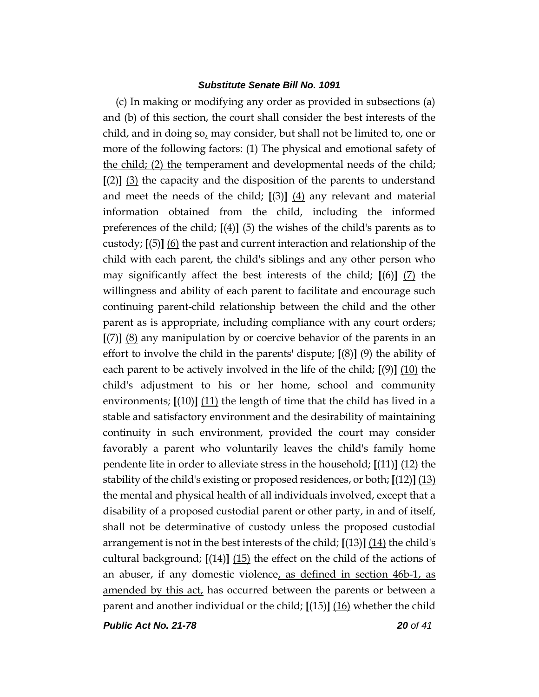(c) In making or modifying any order as provided in subsections (a) and (b) of this section, the court shall consider the best interests of the child, and in doing so, may consider, but shall not be limited to, one or more of the following factors: (1) The physical and emotional safety of the child; (2) the temperament and developmental needs of the child; **[**(2)**]** (3) the capacity and the disposition of the parents to understand and meet the needs of the child; **[**(3)**]** (4) any relevant and material information obtained from the child, including the informed preferences of the child; **[**(4)**]** (5) the wishes of the child's parents as to custody; **[**(5)**]** (6) the past and current interaction and relationship of the child with each parent, the child's siblings and any other person who may significantly affect the best interests of the child; **[**(6)**]** (7) the willingness and ability of each parent to facilitate and encourage such continuing parent-child relationship between the child and the other parent as is appropriate, including compliance with any court orders; **[**(7)**]** (8) any manipulation by or coercive behavior of the parents in an effort to involve the child in the parents' dispute; **[**(8)**]** (9) the ability of each parent to be actively involved in the life of the child; **[**(9)**]** (10) the child's adjustment to his or her home, school and community environments; **[**(10)**]** (11) the length of time that the child has lived in a stable and satisfactory environment and the desirability of maintaining continuity in such environment, provided the court may consider favorably a parent who voluntarily leaves the child's family home pendente lite in order to alleviate stress in the household; **[**(11)**]** (12) the stability of the child's existing or proposed residences, or both; **[**(12)**]** (13) the mental and physical health of all individuals involved, except that a disability of a proposed custodial parent or other party, in and of itself, shall not be determinative of custody unless the proposed custodial arrangement is not in the best interests of the child; **[**(13)**]** (14) the child's cultural background; **[**(14)**]** (15) the effect on the child of the actions of an abuser, if any domestic violence, as defined in section 46b-1, as amended by this act, has occurred between the parents or between a parent and another individual or the child; **[**(15)**]** (16) whether the child

*Public Act No. 21-78 20 of 41*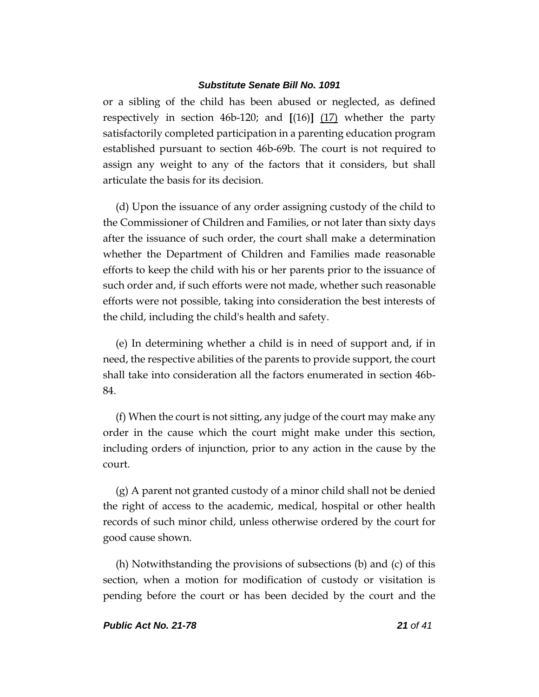or a sibling of the child has been abused or neglected, as defined respectively in section 46b-120; and **[**(16)**]** (17) whether the party satisfactorily completed participation in a parenting education program established pursuant to section 46b-69b. The court is not required to assign any weight to any of the factors that it considers, but shall articulate the basis for its decision.

(d) Upon the issuance of any order assigning custody of the child to the Commissioner of Children and Families, or not later than sixty days after the issuance of such order, the court shall make a determination whether the Department of Children and Families made reasonable efforts to keep the child with his or her parents prior to the issuance of such order and, if such efforts were not made, whether such reasonable efforts were not possible, taking into consideration the best interests of the child, including the child's health and safety.

(e) In determining whether a child is in need of support and, if in need, the respective abilities of the parents to provide support, the court shall take into consideration all the factors enumerated in section 46b-84.

(f) When the court is not sitting, any judge of the court may make any order in the cause which the court might make under this section, including orders of injunction, prior to any action in the cause by the court.

(g) A parent not granted custody of a minor child shall not be denied the right of access to the academic, medical, hospital or other health records of such minor child, unless otherwise ordered by the court for good cause shown.

(h) Notwithstanding the provisions of subsections (b) and (c) of this section, when a motion for modification of custody or visitation is pending before the court or has been decided by the court and the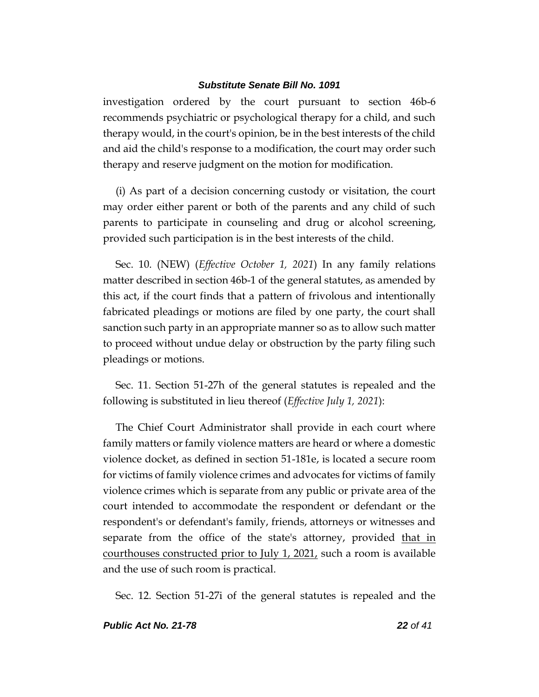investigation ordered by the court pursuant to section 46b-6 recommends psychiatric or psychological therapy for a child, and such therapy would, in the court's opinion, be in the best interests of the child and aid the child's response to a modification, the court may order such therapy and reserve judgment on the motion for modification.

(i) As part of a decision concerning custody or visitation, the court may order either parent or both of the parents and any child of such parents to participate in counseling and drug or alcohol screening, provided such participation is in the best interests of the child.

Sec. 10. (NEW) (*Effective October 1, 2021*) In any family relations matter described in section 46b-1 of the general statutes, as amended by this act, if the court finds that a pattern of frivolous and intentionally fabricated pleadings or motions are filed by one party, the court shall sanction such party in an appropriate manner so as to allow such matter to proceed without undue delay or obstruction by the party filing such pleadings or motions.

Sec. 11. Section 51-27h of the general statutes is repealed and the following is substituted in lieu thereof (*Effective July 1, 2021*):

The Chief Court Administrator shall provide in each court where family matters or family violence matters are heard or where a domestic violence docket, as defined in section 51-181e, is located a secure room for victims of family violence crimes and advocates for victims of family violence crimes which is separate from any public or private area of the court intended to accommodate the respondent or defendant or the respondent's or defendant's family, friends, attorneys or witnesses and separate from the office of the state's attorney, provided that in courthouses constructed prior to July 1, 2021, such a room is available and the use of such room is practical.

Sec. 12. Section 51-27i of the general statutes is repealed and the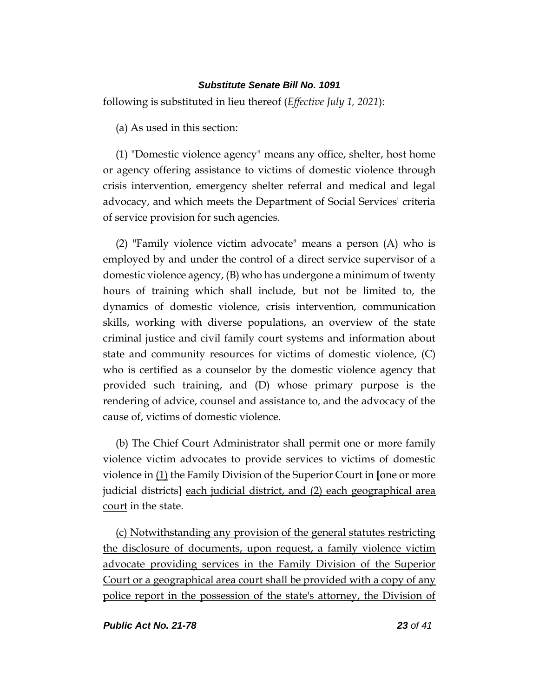following is substituted in lieu thereof (*Effective July 1, 2021*):

(a) As used in this section:

(1) "Domestic violence agency" means any office, shelter, host home or agency offering assistance to victims of domestic violence through crisis intervention, emergency shelter referral and medical and legal advocacy, and which meets the Department of Social Services' criteria of service provision for such agencies.

(2) "Family violence victim advocate" means a person (A) who is employed by and under the control of a direct service supervisor of a domestic violence agency, (B) who has undergone a minimum of twenty hours of training which shall include, but not be limited to, the dynamics of domestic violence, crisis intervention, communication skills, working with diverse populations, an overview of the state criminal justice and civil family court systems and information about state and community resources for victims of domestic violence, (C) who is certified as a counselor by the domestic violence agency that provided such training, and (D) whose primary purpose is the rendering of advice, counsel and assistance to, and the advocacy of the cause of, victims of domestic violence.

(b) The Chief Court Administrator shall permit one or more family violence victim advocates to provide services to victims of domestic violence in (1) the Family Division of the Superior Court in **[**one or more judicial districts**]** each judicial district, and (2) each geographical area court in the state.

(c) Notwithstanding any provision of the general statutes restricting the disclosure of documents, upon request, a family violence victim advocate providing services in the Family Division of the Superior Court or a geographical area court shall be provided with a copy of any police report in the possession of the state's attorney, the Division of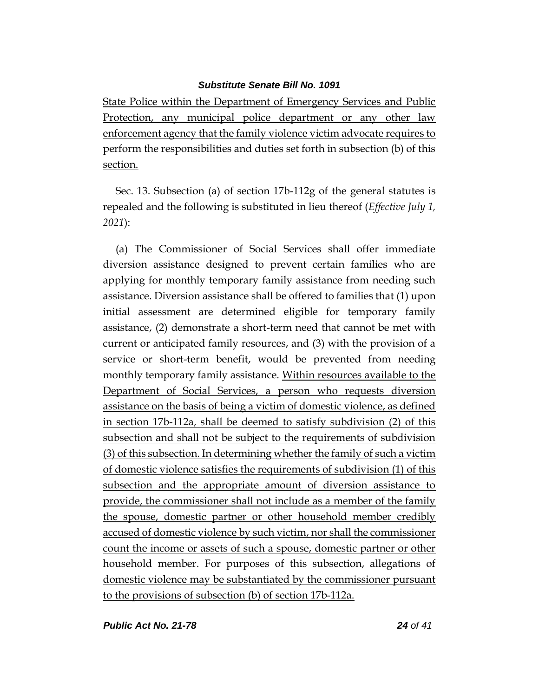State Police within the Department of Emergency Services and Public Protection, any municipal police department or any other law enforcement agency that the family violence victim advocate requires to perform the responsibilities and duties set forth in subsection (b) of this section.

Sec. 13. Subsection (a) of section 17b-112g of the general statutes is repealed and the following is substituted in lieu thereof (*Effective July 1, 2021*):

(a) The Commissioner of Social Services shall offer immediate diversion assistance designed to prevent certain families who are applying for monthly temporary family assistance from needing such assistance. Diversion assistance shall be offered to families that (1) upon initial assessment are determined eligible for temporary family assistance, (2) demonstrate a short-term need that cannot be met with current or anticipated family resources, and (3) with the provision of a service or short-term benefit, would be prevented from needing monthly temporary family assistance. Within resources available to the Department of Social Services, a person who requests diversion assistance on the basis of being a victim of domestic violence, as defined in section 17b-112a, shall be deemed to satisfy subdivision (2) of this subsection and shall not be subject to the requirements of subdivision (3) of this subsection. In determining whether the family of such a victim of domestic violence satisfies the requirements of subdivision (1) of this subsection and the appropriate amount of diversion assistance to provide, the commissioner shall not include as a member of the family the spouse, domestic partner or other household member credibly accused of domestic violence by such victim, nor shall the commissioner count the income or assets of such a spouse, domestic partner or other household member. For purposes of this subsection, allegations of domestic violence may be substantiated by the commissioner pursuant to the provisions of subsection (b) of section 17b-112a.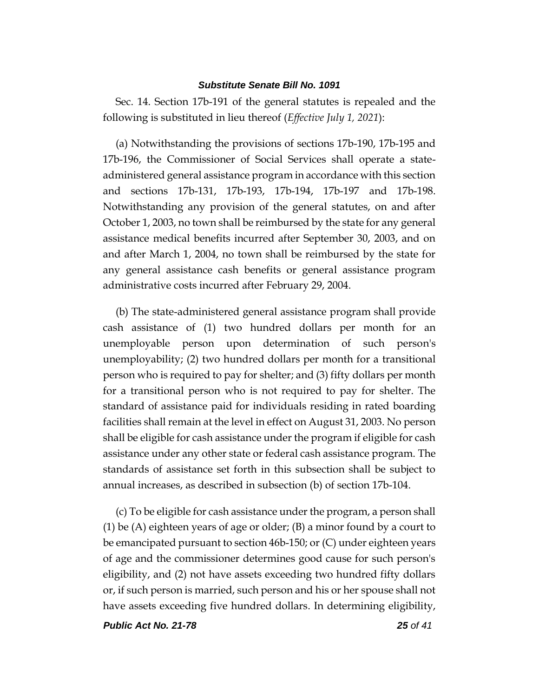Sec. 14. Section 17b-191 of the general statutes is repealed and the following is substituted in lieu thereof (*Effective July 1, 2021*):

(a) Notwithstanding the provisions of sections 17b-190, 17b-195 and 17b-196, the Commissioner of Social Services shall operate a stateadministered general assistance program in accordance with this section and sections 17b-131, 17b-193, 17b-194, 17b-197 and 17b-198. Notwithstanding any provision of the general statutes, on and after October 1, 2003, no town shall be reimbursed by the state for any general assistance medical benefits incurred after September 30, 2003, and on and after March 1, 2004, no town shall be reimbursed by the state for any general assistance cash benefits or general assistance program administrative costs incurred after February 29, 2004.

(b) The state-administered general assistance program shall provide cash assistance of (1) two hundred dollars per month for an unemployable person upon determination of such person's unemployability; (2) two hundred dollars per month for a transitional person who is required to pay for shelter; and (3) fifty dollars per month for a transitional person who is not required to pay for shelter. The standard of assistance paid for individuals residing in rated boarding facilities shall remain at the level in effect on August 31, 2003. No person shall be eligible for cash assistance under the program if eligible for cash assistance under any other state or federal cash assistance program. The standards of assistance set forth in this subsection shall be subject to annual increases, as described in subsection (b) of section 17b-104.

(c) To be eligible for cash assistance under the program, a person shall (1) be (A) eighteen years of age or older; (B) a minor found by a court to be emancipated pursuant to section 46b-150; or (C) under eighteen years of age and the commissioner determines good cause for such person's eligibility, and (2) not have assets exceeding two hundred fifty dollars or, if such person is married, such person and his or her spouse shall not have assets exceeding five hundred dollars. In determining eligibility,

*Public Act No. 21-78 25 of 41*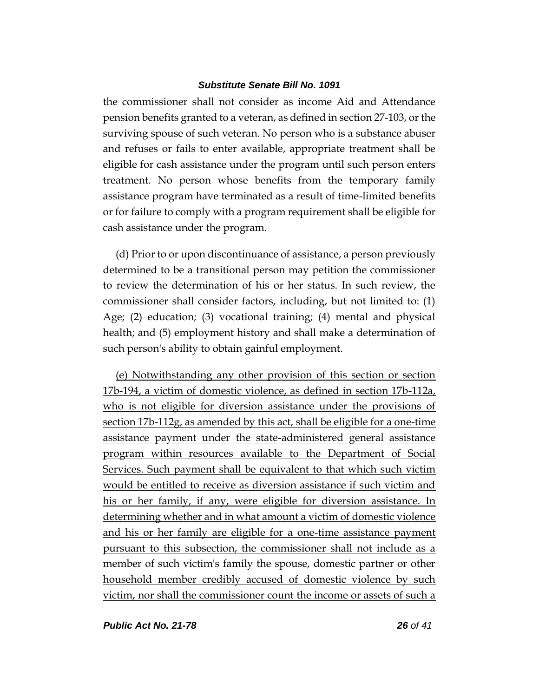the commissioner shall not consider as income Aid and Attendance pension benefits granted to a veteran, as defined in section 27-103, or the surviving spouse of such veteran. No person who is a substance abuser and refuses or fails to enter available, appropriate treatment shall be eligible for cash assistance under the program until such person enters treatment. No person whose benefits from the temporary family assistance program have terminated as a result of time-limited benefits or for failure to comply with a program requirement shall be eligible for cash assistance under the program.

(d) Prior to or upon discontinuance of assistance, a person previously determined to be a transitional person may petition the commissioner to review the determination of his or her status. In such review, the commissioner shall consider factors, including, but not limited to: (1) Age; (2) education; (3) vocational training; (4) mental and physical health; and (5) employment history and shall make a determination of such person's ability to obtain gainful employment.

(e) Notwithstanding any other provision of this section or section 17b-194, a victim of domestic violence, as defined in section 17b-112a, who is not eligible for diversion assistance under the provisions of section 17b-112g, as amended by this act, shall be eligible for a one-time assistance payment under the state-administered general assistance program within resources available to the Department of Social Services. Such payment shall be equivalent to that which such victim would be entitled to receive as diversion assistance if such victim and his or her family, if any, were eligible for diversion assistance. In determining whether and in what amount a victim of domestic violence and his or her family are eligible for a one-time assistance payment pursuant to this subsection, the commissioner shall not include as a member of such victim's family the spouse, domestic partner or other household member credibly accused of domestic violence by such victim, nor shall the commissioner count the income or assets of such a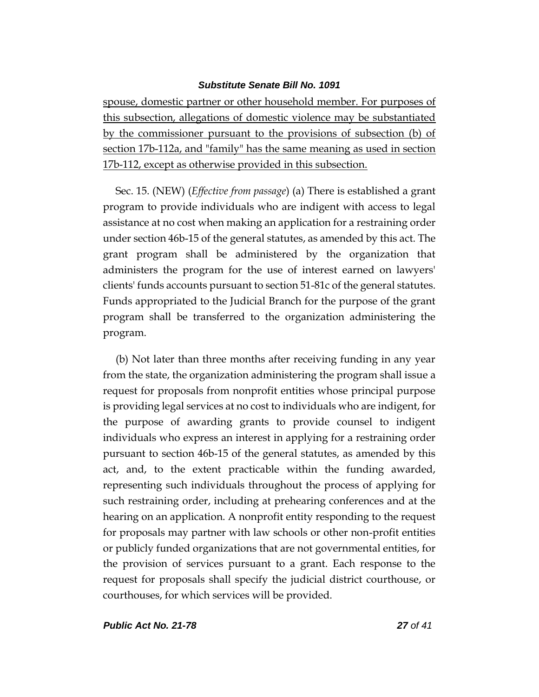spouse, domestic partner or other household member. For purposes of this subsection, allegations of domestic violence may be substantiated by the commissioner pursuant to the provisions of subsection (b) of section 17b-112a, and "family" has the same meaning as used in section 17b-112, except as otherwise provided in this subsection.

Sec. 15. (NEW) (*Effective from passage*) (a) There is established a grant program to provide individuals who are indigent with access to legal assistance at no cost when making an application for a restraining order under section 46b-15 of the general statutes, as amended by this act. The grant program shall be administered by the organization that administers the program for the use of interest earned on lawyers' clients' funds accounts pursuant to section 51-81c of the general statutes. Funds appropriated to the Judicial Branch for the purpose of the grant program shall be transferred to the organization administering the program.

(b) Not later than three months after receiving funding in any year from the state, the organization administering the program shall issue a request for proposals from nonprofit entities whose principal purpose is providing legal services at no cost to individuals who are indigent, for the purpose of awarding grants to provide counsel to indigent individuals who express an interest in applying for a restraining order pursuant to section 46b-15 of the general statutes, as amended by this act, and, to the extent practicable within the funding awarded, representing such individuals throughout the process of applying for such restraining order, including at prehearing conferences and at the hearing on an application. A nonprofit entity responding to the request for proposals may partner with law schools or other non-profit entities or publicly funded organizations that are not governmental entities, for the provision of services pursuant to a grant. Each response to the request for proposals shall specify the judicial district courthouse, or courthouses, for which services will be provided.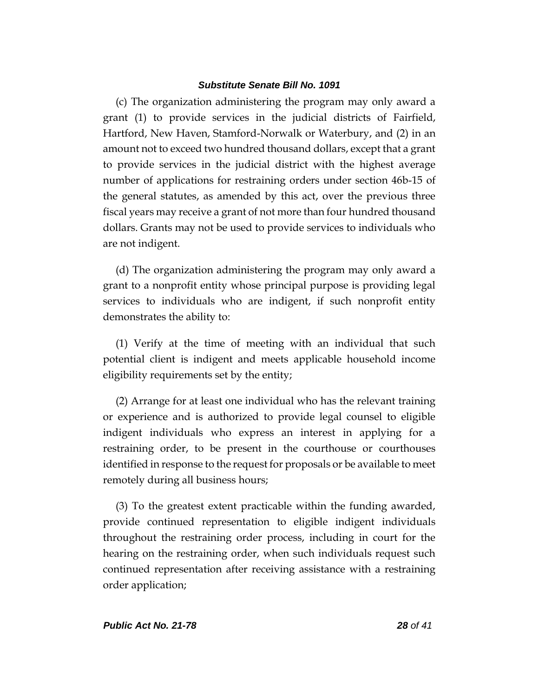(c) The organization administering the program may only award a grant (1) to provide services in the judicial districts of Fairfield, Hartford, New Haven, Stamford-Norwalk or Waterbury, and (2) in an amount not to exceed two hundred thousand dollars, except that a grant to provide services in the judicial district with the highest average number of applications for restraining orders under section 46b-15 of the general statutes, as amended by this act, over the previous three fiscal years may receive a grant of not more than four hundred thousand dollars. Grants may not be used to provide services to individuals who are not indigent.

(d) The organization administering the program may only award a grant to a nonprofit entity whose principal purpose is providing legal services to individuals who are indigent, if such nonprofit entity demonstrates the ability to:

(1) Verify at the time of meeting with an individual that such potential client is indigent and meets applicable household income eligibility requirements set by the entity;

(2) Arrange for at least one individual who has the relevant training or experience and is authorized to provide legal counsel to eligible indigent individuals who express an interest in applying for a restraining order, to be present in the courthouse or courthouses identified in response to the request for proposals or be available to meet remotely during all business hours;

(3) To the greatest extent practicable within the funding awarded, provide continued representation to eligible indigent individuals throughout the restraining order process, including in court for the hearing on the restraining order, when such individuals request such continued representation after receiving assistance with a restraining order application;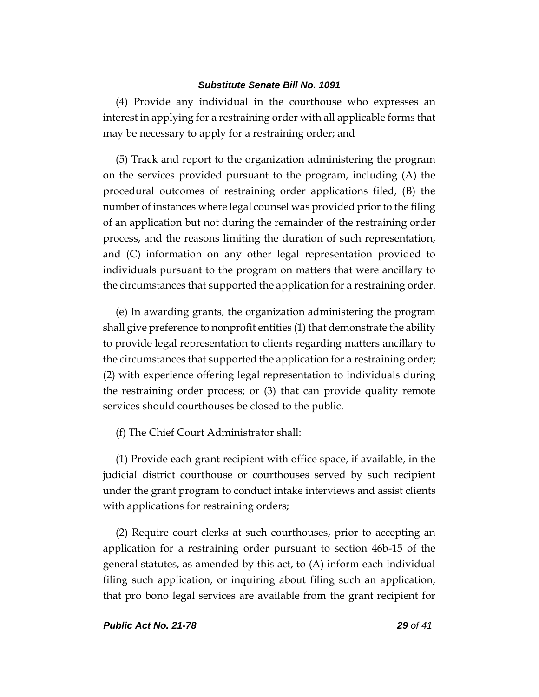(4) Provide any individual in the courthouse who expresses an interest in applying for a restraining order with all applicable forms that may be necessary to apply for a restraining order; and

(5) Track and report to the organization administering the program on the services provided pursuant to the program, including (A) the procedural outcomes of restraining order applications filed, (B) the number of instances where legal counsel was provided prior to the filing of an application but not during the remainder of the restraining order process, and the reasons limiting the duration of such representation, and (C) information on any other legal representation provided to individuals pursuant to the program on matters that were ancillary to the circumstances that supported the application for a restraining order.

(e) In awarding grants, the organization administering the program shall give preference to nonprofit entities (1) that demonstrate the ability to provide legal representation to clients regarding matters ancillary to the circumstances that supported the application for a restraining order; (2) with experience offering legal representation to individuals during the restraining order process; or (3) that can provide quality remote services should courthouses be closed to the public.

(f) The Chief Court Administrator shall:

(1) Provide each grant recipient with office space, if available, in the judicial district courthouse or courthouses served by such recipient under the grant program to conduct intake interviews and assist clients with applications for restraining orders;

(2) Require court clerks at such courthouses, prior to accepting an application for a restraining order pursuant to section 46b-15 of the general statutes, as amended by this act, to (A) inform each individual filing such application, or inquiring about filing such an application, that pro bono legal services are available from the grant recipient for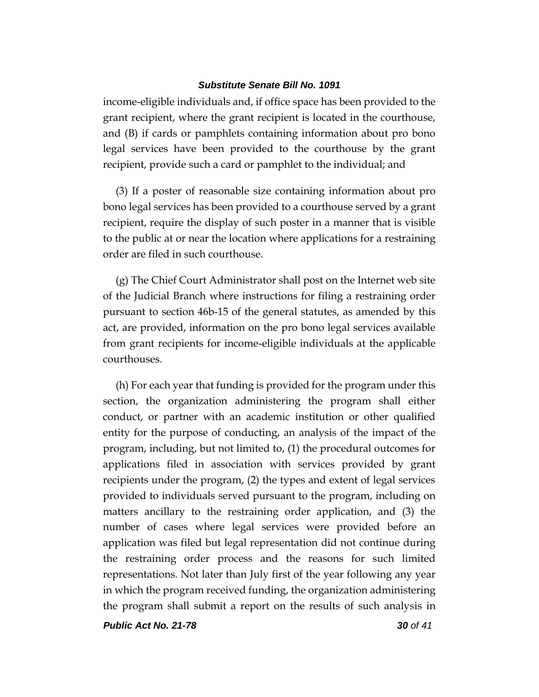income-eligible individuals and, if office space has been provided to the grant recipient, where the grant recipient is located in the courthouse, and (B) if cards or pamphlets containing information about pro bono legal services have been provided to the courthouse by the grant recipient, provide such a card or pamphlet to the individual; and

(3) If a poster of reasonable size containing information about pro bono legal services has been provided to a courthouse served by a grant recipient, require the display of such poster in a manner that is visible to the public at or near the location where applications for a restraining order are filed in such courthouse.

(g) The Chief Court Administrator shall post on the Internet web site of the Judicial Branch where instructions for filing a restraining order pursuant to section 46b-15 of the general statutes, as amended by this act, are provided, information on the pro bono legal services available from grant recipients for income-eligible individuals at the applicable courthouses.

(h) For each year that funding is provided for the program under this section, the organization administering the program shall either conduct, or partner with an academic institution or other qualified entity for the purpose of conducting, an analysis of the impact of the program, including, but not limited to, (1) the procedural outcomes for applications filed in association with services provided by grant recipients under the program, (2) the types and extent of legal services provided to individuals served pursuant to the program, including on matters ancillary to the restraining order application, and (3) the number of cases where legal services were provided before an application was filed but legal representation did not continue during the restraining order process and the reasons for such limited representations. Not later than July first of the year following any year in which the program received funding, the organization administering the program shall submit a report on the results of such analysis in

*Public Act No. 21-78 30 of 41*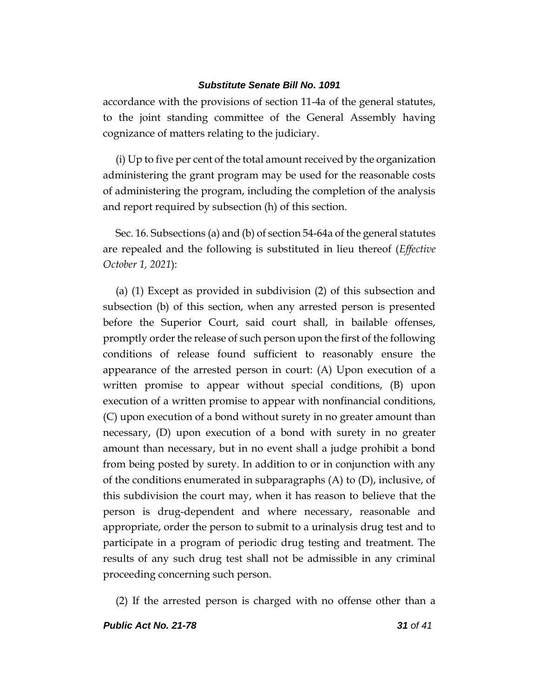accordance with the provisions of section 11-4a of the general statutes, to the joint standing committee of the General Assembly having cognizance of matters relating to the judiciary.

(i) Up to five per cent of the total amount received by the organization administering the grant program may be used for the reasonable costs of administering the program, including the completion of the analysis and report required by subsection (h) of this section.

Sec. 16. Subsections (a) and (b) of section 54-64a of the general statutes are repealed and the following is substituted in lieu thereof (*Effective October 1, 2021*):

(a) (1) Except as provided in subdivision (2) of this subsection and subsection (b) of this section, when any arrested person is presented before the Superior Court, said court shall, in bailable offenses, promptly order the release of such person upon the first of the following conditions of release found sufficient to reasonably ensure the appearance of the arrested person in court: (A) Upon execution of a written promise to appear without special conditions, (B) upon execution of a written promise to appear with nonfinancial conditions, (C) upon execution of a bond without surety in no greater amount than necessary, (D) upon execution of a bond with surety in no greater amount than necessary, but in no event shall a judge prohibit a bond from being posted by surety. In addition to or in conjunction with any of the conditions enumerated in subparagraphs  $(A)$  to  $(D)$ , inclusive, of this subdivision the court may, when it has reason to believe that the person is drug-dependent and where necessary, reasonable and appropriate, order the person to submit to a urinalysis drug test and to participate in a program of periodic drug testing and treatment. The results of any such drug test shall not be admissible in any criminal proceeding concerning such person.

(2) If the arrested person is charged with no offense other than a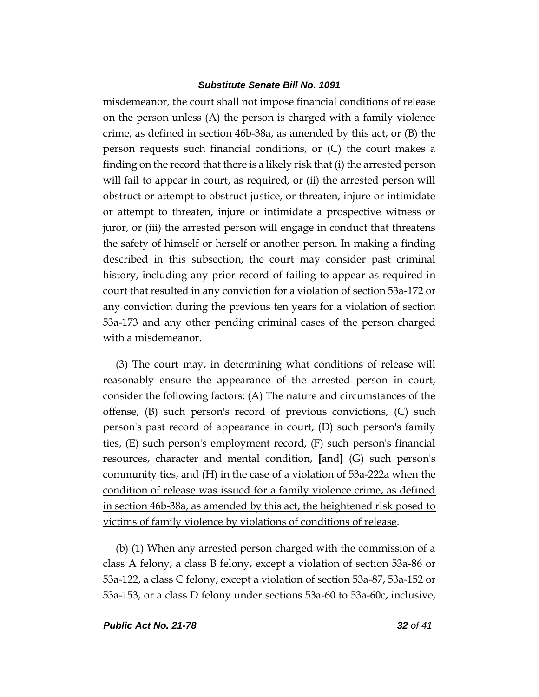misdemeanor, the court shall not impose financial conditions of release on the person unless (A) the person is charged with a family violence crime, as defined in section 46b-38a, as amended by this act, or (B) the person requests such financial conditions, or (C) the court makes a finding on the record that there is a likely risk that (i) the arrested person will fail to appear in court, as required, or (ii) the arrested person will obstruct or attempt to obstruct justice, or threaten, injure or intimidate or attempt to threaten, injure or intimidate a prospective witness or juror, or (iii) the arrested person will engage in conduct that threatens the safety of himself or herself or another person. In making a finding described in this subsection, the court may consider past criminal history, including any prior record of failing to appear as required in court that resulted in any conviction for a violation of section 53a-172 or any conviction during the previous ten years for a violation of section 53a-173 and any other pending criminal cases of the person charged with a misdemeanor.

(3) The court may, in determining what conditions of release will reasonably ensure the appearance of the arrested person in court, consider the following factors: (A) The nature and circumstances of the offense, (B) such person's record of previous convictions, (C) such person's past record of appearance in court, (D) such person's family ties, (E) such person's employment record, (F) such person's financial resources, character and mental condition, **[**and**]** (G) such person's community ties, and (H) in the case of a violation of 53a-222a when the condition of release was issued for a family violence crime, as defined in section 46b-38a, as amended by this act, the heightened risk posed to victims of family violence by violations of conditions of release.

(b) (1) When any arrested person charged with the commission of a class A felony, a class B felony, except a violation of section 53a-86 or 53a-122, a class C felony, except a violation of section 53a-87, 53a-152 or 53a-153, or a class D felony under sections 53a-60 to 53a-60c, inclusive,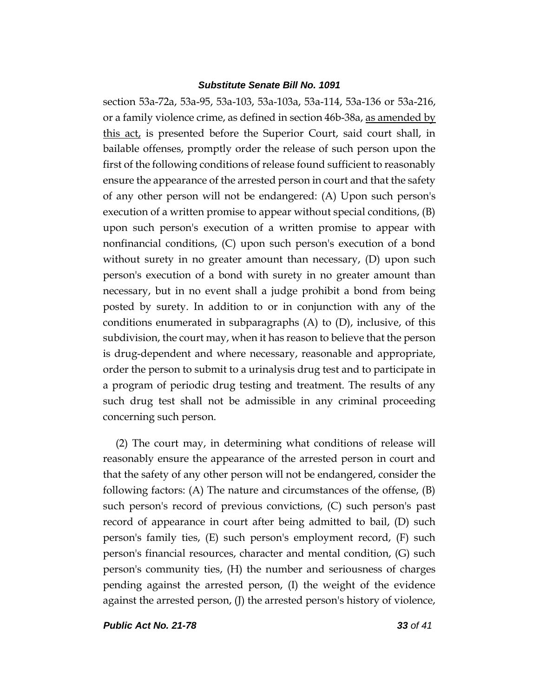section 53a-72a, 53a-95, 53a-103, 53a-103a, 53a-114, 53a-136 or 53a-216, or a family violence crime, as defined in section 46b-38a, as amended by this act, is presented before the Superior Court, said court shall, in bailable offenses, promptly order the release of such person upon the first of the following conditions of release found sufficient to reasonably ensure the appearance of the arrested person in court and that the safety of any other person will not be endangered: (A) Upon such person's execution of a written promise to appear without special conditions, (B) upon such person's execution of a written promise to appear with nonfinancial conditions, (C) upon such person's execution of a bond without surety in no greater amount than necessary, (D) upon such person's execution of a bond with surety in no greater amount than necessary, but in no event shall a judge prohibit a bond from being posted by surety. In addition to or in conjunction with any of the conditions enumerated in subparagraphs (A) to (D), inclusive, of this subdivision, the court may, when it has reason to believe that the person is drug-dependent and where necessary, reasonable and appropriate, order the person to submit to a urinalysis drug test and to participate in a program of periodic drug testing and treatment. The results of any such drug test shall not be admissible in any criminal proceeding concerning such person.

(2) The court may, in determining what conditions of release will reasonably ensure the appearance of the arrested person in court and that the safety of any other person will not be endangered, consider the following factors: (A) The nature and circumstances of the offense, (B) such person's record of previous convictions, (C) such person's past record of appearance in court after being admitted to bail, (D) such person's family ties, (E) such person's employment record, (F) such person's financial resources, character and mental condition, (G) such person's community ties, (H) the number and seriousness of charges pending against the arrested person, (I) the weight of the evidence against the arrested person, (J) the arrested person's history of violence,

*Public Act No. 21-78 33 of 41*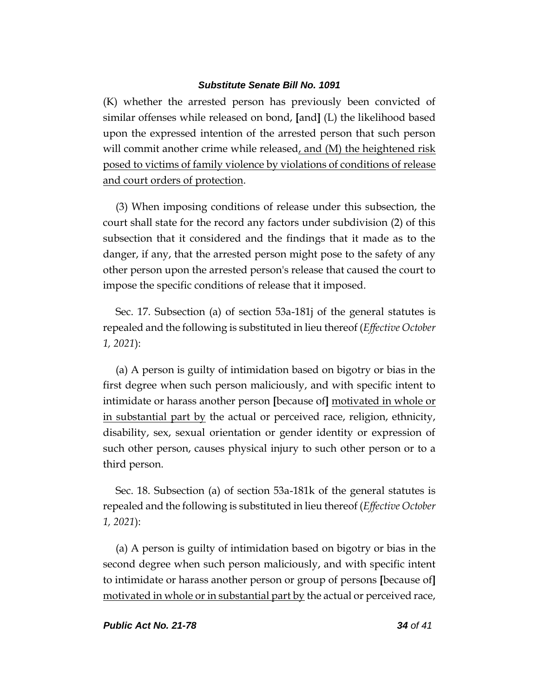(K) whether the arrested person has previously been convicted of similar offenses while released on bond, **[**and**]** (L) the likelihood based upon the expressed intention of the arrested person that such person will commit another crime while released, and  $(M)$  the heightened risk posed to victims of family violence by violations of conditions of release and court orders of protection.

(3) When imposing conditions of release under this subsection, the court shall state for the record any factors under subdivision (2) of this subsection that it considered and the findings that it made as to the danger, if any, that the arrested person might pose to the safety of any other person upon the arrested person's release that caused the court to impose the specific conditions of release that it imposed.

Sec. 17. Subsection (a) of section 53a-181j of the general statutes is repealed and the following is substituted in lieu thereof (*Effective October 1, 2021*):

(a) A person is guilty of intimidation based on bigotry or bias in the first degree when such person maliciously, and with specific intent to intimidate or harass another person **[**because of**]** motivated in whole or in substantial part by the actual or perceived race, religion, ethnicity, disability, sex, sexual orientation or gender identity or expression of such other person, causes physical injury to such other person or to a third person.

Sec. 18. Subsection (a) of section 53a-181k of the general statutes is repealed and the following is substituted in lieu thereof (*Effective October 1, 2021*):

(a) A person is guilty of intimidation based on bigotry or bias in the second degree when such person maliciously, and with specific intent to intimidate or harass another person or group of persons **[**because of**]** motivated in whole or in substantial part by the actual or perceived race,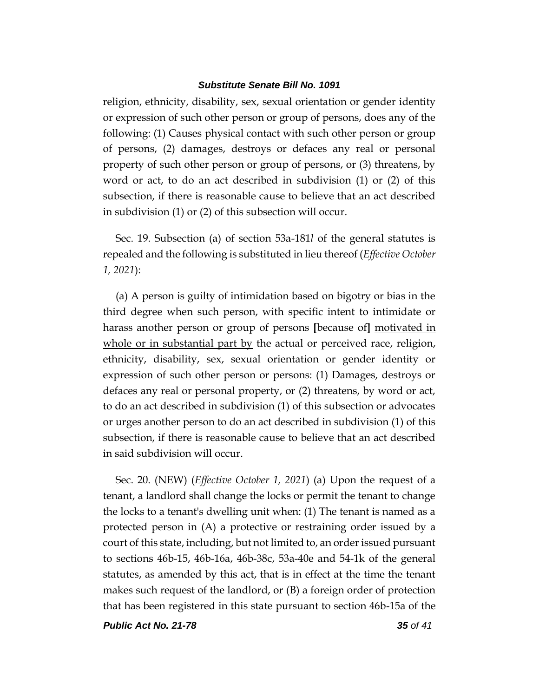religion, ethnicity, disability, sex, sexual orientation or gender identity or expression of such other person or group of persons, does any of the following: (1) Causes physical contact with such other person or group of persons, (2) damages, destroys or defaces any real or personal property of such other person or group of persons, or (3) threatens, by word or act, to do an act described in subdivision (1) or (2) of this subsection, if there is reasonable cause to believe that an act described in subdivision (1) or (2) of this subsection will occur.

Sec. 19. Subsection (a) of section 53a-181*l* of the general statutes is repealed and the following is substituted in lieu thereof (*Effective October 1, 2021*):

(a) A person is guilty of intimidation based on bigotry or bias in the third degree when such person, with specific intent to intimidate or harass another person or group of persons **[**because of**]** motivated in whole or in substantial part by the actual or perceived race, religion, ethnicity, disability, sex, sexual orientation or gender identity or expression of such other person or persons: (1) Damages, destroys or defaces any real or personal property, or (2) threatens, by word or act, to do an act described in subdivision (1) of this subsection or advocates or urges another person to do an act described in subdivision (1) of this subsection, if there is reasonable cause to believe that an act described in said subdivision will occur.

Sec. 20. (NEW) (*Effective October 1, 2021*) (a) Upon the request of a tenant, a landlord shall change the locks or permit the tenant to change the locks to a tenant's dwelling unit when: (1) The tenant is named as a protected person in (A) a protective or restraining order issued by a court of this state, including, but not limited to, an order issued pursuant to sections 46b-15, 46b-16a, 46b-38c, 53a-40e and 54-1k of the general statutes, as amended by this act, that is in effect at the time the tenant makes such request of the landlord, or (B) a foreign order of protection that has been registered in this state pursuant to section 46b-15a of the

*Public Act No. 21-78 35 of 41*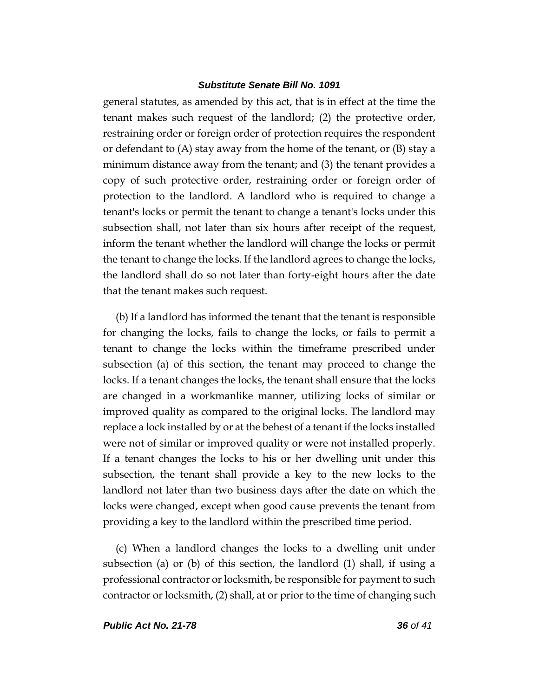general statutes, as amended by this act, that is in effect at the time the tenant makes such request of the landlord; (2) the protective order, restraining order or foreign order of protection requires the respondent or defendant to (A) stay away from the home of the tenant, or (B) stay a minimum distance away from the tenant; and (3) the tenant provides a copy of such protective order, restraining order or foreign order of protection to the landlord. A landlord who is required to change a tenant's locks or permit the tenant to change a tenant's locks under this subsection shall, not later than six hours after receipt of the request, inform the tenant whether the landlord will change the locks or permit the tenant to change the locks. If the landlord agrees to change the locks, the landlord shall do so not later than forty-eight hours after the date that the tenant makes such request.

(b) If a landlord has informed the tenant that the tenant is responsible for changing the locks, fails to change the locks, or fails to permit a tenant to change the locks within the timeframe prescribed under subsection (a) of this section, the tenant may proceed to change the locks. If a tenant changes the locks, the tenant shall ensure that the locks are changed in a workmanlike manner, utilizing locks of similar or improved quality as compared to the original locks. The landlord may replace a lock installed by or at the behest of a tenant if the locks installed were not of similar or improved quality or were not installed properly. If a tenant changes the locks to his or her dwelling unit under this subsection, the tenant shall provide a key to the new locks to the landlord not later than two business days after the date on which the locks were changed, except when good cause prevents the tenant from providing a key to the landlord within the prescribed time period.

(c) When a landlord changes the locks to a dwelling unit under subsection (a) or (b) of this section, the landlord (1) shall, if using a professional contractor or locksmith, be responsible for payment to such contractor or locksmith, (2) shall, at or prior to the time of changing such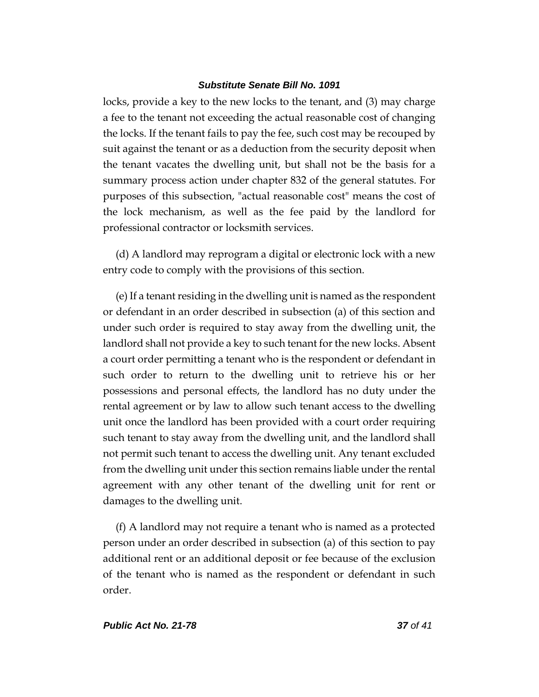locks, provide a key to the new locks to the tenant, and (3) may charge a fee to the tenant not exceeding the actual reasonable cost of changing the locks. If the tenant fails to pay the fee, such cost may be recouped by suit against the tenant or as a deduction from the security deposit when the tenant vacates the dwelling unit, but shall not be the basis for a summary process action under chapter 832 of the general statutes. For purposes of this subsection, "actual reasonable cost" means the cost of the lock mechanism, as well as the fee paid by the landlord for professional contractor or locksmith services.

(d) A landlord may reprogram a digital or electronic lock with a new entry code to comply with the provisions of this section.

(e) If a tenant residing in the dwelling unit is named as the respondent or defendant in an order described in subsection (a) of this section and under such order is required to stay away from the dwelling unit, the landlord shall not provide a key to such tenant for the new locks. Absent a court order permitting a tenant who is the respondent or defendant in such order to return to the dwelling unit to retrieve his or her possessions and personal effects, the landlord has no duty under the rental agreement or by law to allow such tenant access to the dwelling unit once the landlord has been provided with a court order requiring such tenant to stay away from the dwelling unit, and the landlord shall not permit such tenant to access the dwelling unit. Any tenant excluded from the dwelling unit under this section remains liable under the rental agreement with any other tenant of the dwelling unit for rent or damages to the dwelling unit.

(f) A landlord may not require a tenant who is named as a protected person under an order described in subsection (a) of this section to pay additional rent or an additional deposit or fee because of the exclusion of the tenant who is named as the respondent or defendant in such order.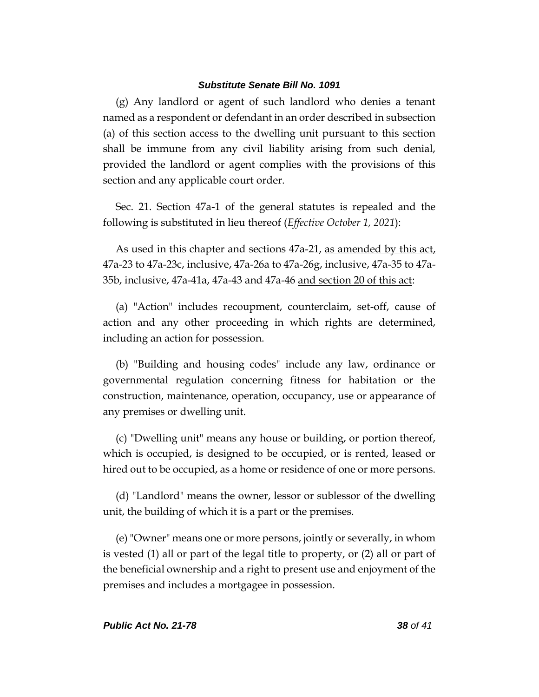(g) Any landlord or agent of such landlord who denies a tenant named as a respondent or defendant in an order described in subsection (a) of this section access to the dwelling unit pursuant to this section shall be immune from any civil liability arising from such denial, provided the landlord or agent complies with the provisions of this section and any applicable court order.

Sec. 21. Section 47a-1 of the general statutes is repealed and the following is substituted in lieu thereof (*Effective October 1, 2021*):

As used in this chapter and sections 47a-21, as amended by this act, 47a-23 to 47a-23c, inclusive, 47a-26a to 47a-26g, inclusive, 47a-35 to 47a-35b, inclusive, 47a-41a, 47a-43 and 47a-46 and section 20 of this act:

(a) "Action" includes recoupment, counterclaim, set-off, cause of action and any other proceeding in which rights are determined, including an action for possession.

(b) "Building and housing codes" include any law, ordinance or governmental regulation concerning fitness for habitation or the construction, maintenance, operation, occupancy, use or appearance of any premises or dwelling unit.

(c) "Dwelling unit" means any house or building, or portion thereof, which is occupied, is designed to be occupied, or is rented, leased or hired out to be occupied, as a home or residence of one or more persons.

(d) "Landlord" means the owner, lessor or sublessor of the dwelling unit, the building of which it is a part or the premises.

(e) "Owner" means one or more persons, jointly or severally, in whom is vested (1) all or part of the legal title to property, or (2) all or part of the beneficial ownership and a right to present use and enjoyment of the premises and includes a mortgagee in possession.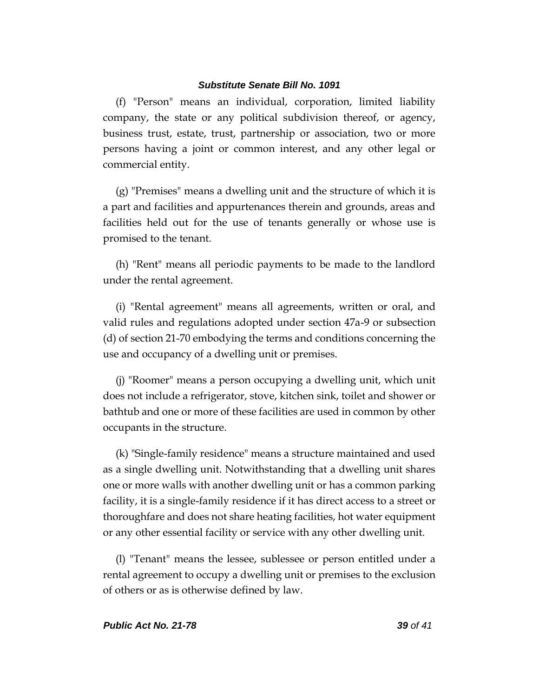(f) "Person" means an individual, corporation, limited liability company, the state or any political subdivision thereof, or agency, business trust, estate, trust, partnership or association, two or more persons having a joint or common interest, and any other legal or commercial entity.

(g) "Premises" means a dwelling unit and the structure of which it is a part and facilities and appurtenances therein and grounds, areas and facilities held out for the use of tenants generally or whose use is promised to the tenant.

(h) "Rent" means all periodic payments to be made to the landlord under the rental agreement.

(i) "Rental agreement" means all agreements, written or oral, and valid rules and regulations adopted under section 47a-9 or subsection (d) of section 21-70 embodying the terms and conditions concerning the use and occupancy of a dwelling unit or premises.

(j) "Roomer" means a person occupying a dwelling unit, which unit does not include a refrigerator, stove, kitchen sink, toilet and shower or bathtub and one or more of these facilities are used in common by other occupants in the structure.

(k) "Single-family residence" means a structure maintained and used as a single dwelling unit. Notwithstanding that a dwelling unit shares one or more walls with another dwelling unit or has a common parking facility, it is a single-family residence if it has direct access to a street or thoroughfare and does not share heating facilities, hot water equipment or any other essential facility or service with any other dwelling unit.

(l) "Tenant" means the lessee, sublessee or person entitled under a rental agreement to occupy a dwelling unit or premises to the exclusion of others or as is otherwise defined by law.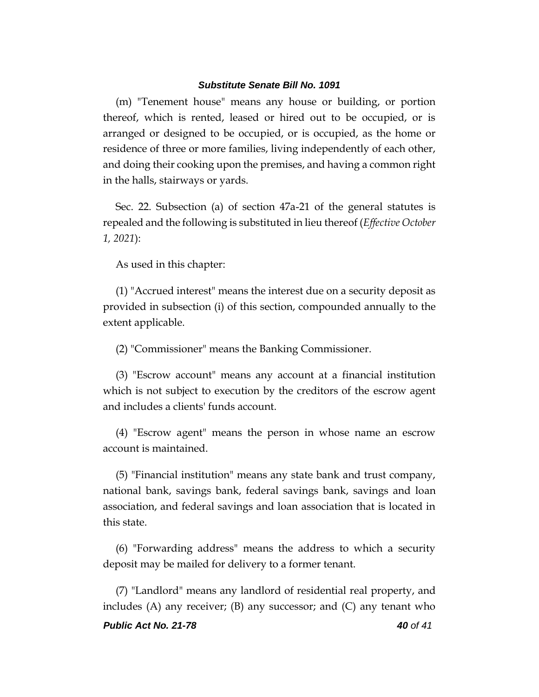(m) "Tenement house" means any house or building, or portion thereof, which is rented, leased or hired out to be occupied, or is arranged or designed to be occupied, or is occupied, as the home or residence of three or more families, living independently of each other, and doing their cooking upon the premises, and having a common right in the halls, stairways or yards.

Sec. 22. Subsection (a) of section 47a-21 of the general statutes is repealed and the following is substituted in lieu thereof (*Effective October 1, 2021*):

As used in this chapter:

(1) "Accrued interest" means the interest due on a security deposit as provided in subsection (i) of this section, compounded annually to the extent applicable.

(2) "Commissioner" means the Banking Commissioner.

(3) "Escrow account" means any account at a financial institution which is not subject to execution by the creditors of the escrow agent and includes a clients' funds account.

(4) "Escrow agent" means the person in whose name an escrow account is maintained.

(5) "Financial institution" means any state bank and trust company, national bank, savings bank, federal savings bank, savings and loan association, and federal savings and loan association that is located in this state.

(6) "Forwarding address" means the address to which a security deposit may be mailed for delivery to a former tenant.

(7) "Landlord" means any landlord of residential real property, and includes (A) any receiver; (B) any successor; and (C) any tenant who